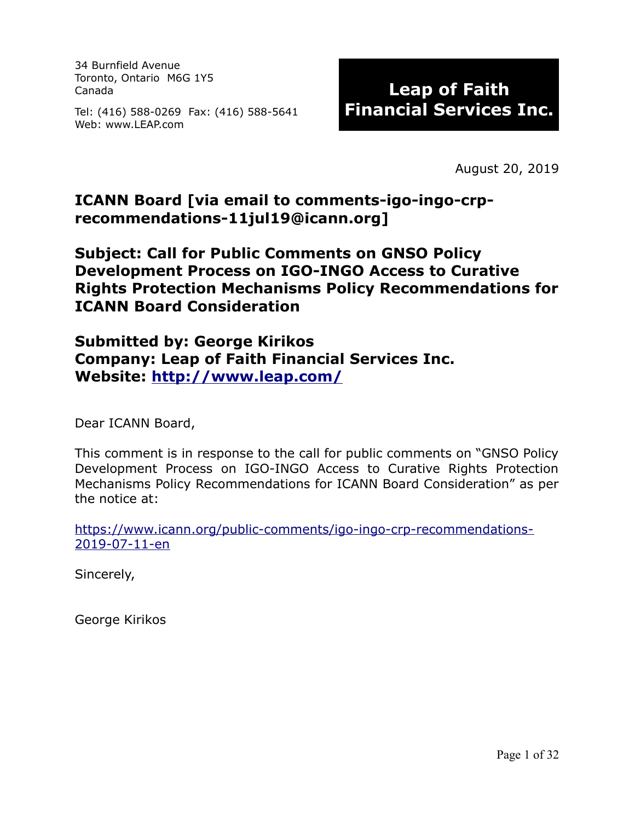34 Burnfield Avenue Toronto, Ontario M6G 1Y5 Canada

Tel: (416) 588-0269 Fax: (416) 588-5641 Web: www.LEAP.com

# **Leap of Faith Financial Services Inc.**

August 20, 2019

#### **ICANN Board [via email to comments-igo-ingo-crprecommendations-11jul19@icann.org]**

**Subject: Call for Public Comments on GNSO Policy Development Process on IGO-INGO Access to Curative Rights Protection Mechanisms Policy Recommendations for ICANN Board Consideration**

**Submitted by: George Kirikos Company: Leap of Faith Financial Services Inc. Website:<http://www.leap.com/>**

Dear ICANN Board,

This comment is in response to the call for public comments on "GNSO Policy Development Process on IGO-INGO Access to Curative Rights Protection Mechanisms Policy Recommendations for ICANN Board Consideration" as per the notice at:

[https://www.icann.org/public-comments/igo-ingo-crp-recommendations-](https://www.icann.org/public-comments/igo-ingo-crp-recommendations-2019-07-11-en)[2019-07-11-en](https://www.icann.org/public-comments/igo-ingo-crp-recommendations-2019-07-11-en)

Sincerely,

George Kirikos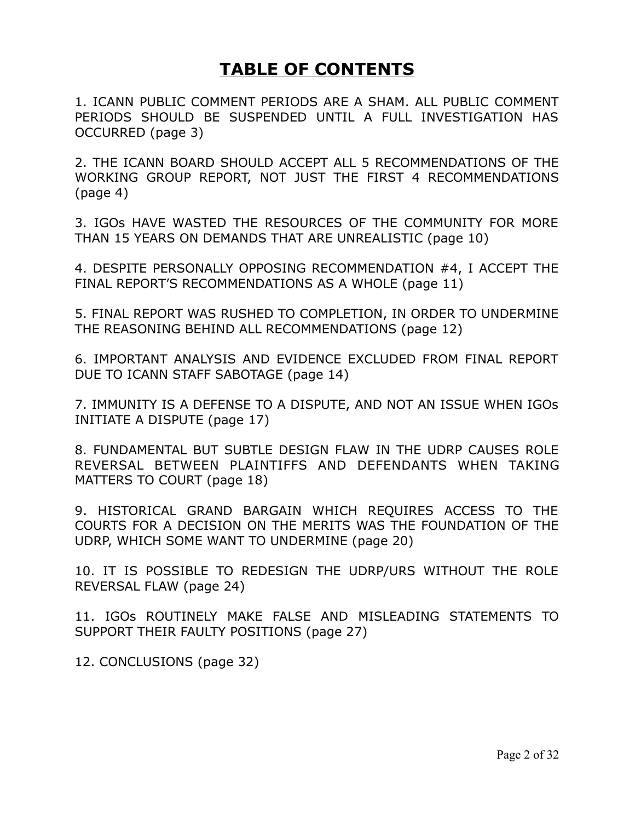# **TABLE OF CONTENTS**

1. ICANN PUBLIC COMMENT PERIODS ARE A SHAM. ALL PUBLIC COMMENT PERIODS SHOULD BE SUSPENDED UNTIL A FULL INVESTIGATION HAS OCCURRED (page 3)

2. THE ICANN BOARD SHOULD ACCEPT ALL 5 RECOMMENDATIONS OF THE WORKING GROUP REPORT, NOT JUST THE FIRST 4 RECOMMENDATIONS (page 4)

3. IGOs HAVE WASTED THE RESOURCES OF THE COMMUNITY FOR MORE THAN 15 YEARS ON DEMANDS THAT ARE UNREALISTIC (page 10)

4. DESPITE PERSONALLY OPPOSING RECOMMENDATION #4, I ACCEPT THE FINAL REPORT'S RECOMMENDATIONS AS A WHOLE (page 11)

5. FINAL REPORT WAS RUSHED TO COMPLETION, IN ORDER TO UNDERMINE THE REASONING BEHIND ALL RECOMMENDATIONS (page 12)

6. IMPORTANT ANALYSIS AND EVIDENCE EXCLUDED FROM FINAL REPORT DUE TO ICANN STAFF SABOTAGE (page 14)

7. IMMUNITY IS A DEFENSE TO A DISPUTE, AND NOT AN ISSUE WHEN IGOs INITIATE A DISPUTE (page 17)

8. FUNDAMENTAL BUT SUBTLE DESIGN FLAW IN THE UDRP CAUSES ROLE REVERSAL BETWEEN PLAINTIFFS AND DEFENDANTS WHEN TAKING MATTERS TO COURT (page 18)

9. HISTORICAL GRAND BARGAIN WHICH REQUIRES ACCESS TO THE COURTS FOR A DECISION ON THE MERITS WAS THE FOUNDATION OF THE UDRP, WHICH SOME WANT TO UNDERMINE (page 20)

10. IT IS POSSIBLE TO REDESIGN THE UDRP/URS WITHOUT THE ROLE REVERSAL FLAW (page 24)

11. IGOs ROUTINELY MAKE FALSE AND MISLEADING STATEMENTS TO SUPPORT THEIR FAULTY POSITIONS (page 27)

12. CONCLUSIONS (page 32)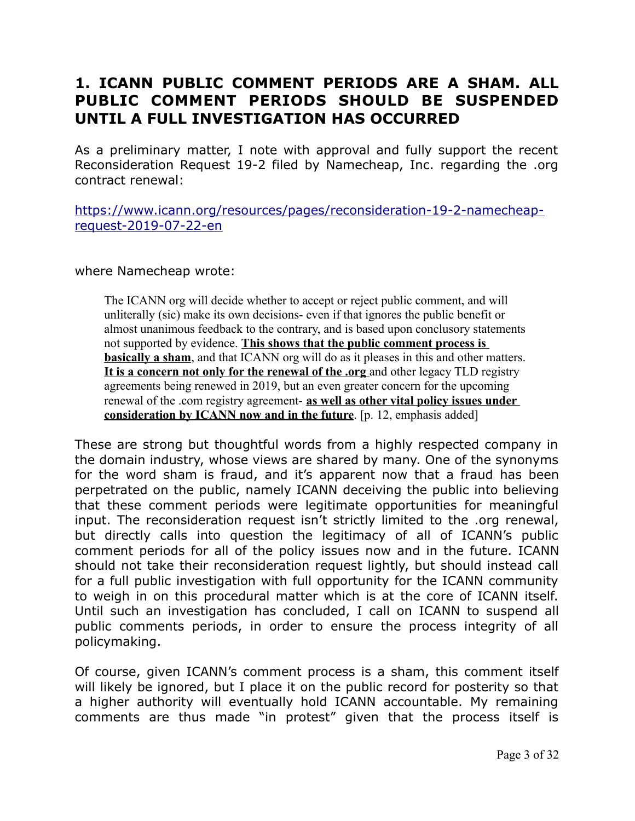### **1. ICANN PUBLIC COMMENT PERIODS ARE A SHAM. ALL PUBLIC COMMENT PERIODS SHOULD BE SUSPENDED UNTIL A FULL INVESTIGATION HAS OCCURRED**

As a preliminary matter, I note with approval and fully support the recent Reconsideration Request 19-2 filed by Namecheap, Inc. regarding the .org contract renewal:

[https://www.icann.org/resources/pages/reconsideration-19-2-namecheap](https://www.icann.org/resources/pages/reconsideration-19-2-namecheap-request-2019-07-22-en)[request-2019-07-22-en](https://www.icann.org/resources/pages/reconsideration-19-2-namecheap-request-2019-07-22-en)

#### where Namecheap wrote:

The ICANN org will decide whether to accept or reject public comment, and will unliterally (sic) make its own decisions- even if that ignores the public benefit or almost unanimous feedback to the contrary, and is based upon conclusory statements not supported by evidence. **This shows that the public comment process is basically a sham**, and that ICANN org will do as it pleases in this and other matters. **It is a concern not only for the renewal of the .org** and other legacy TLD registry agreements being renewed in 2019, but an even greater concern for the upcoming renewal of the .com registry agreement- **as well as other vital policy issues under consideration by ICANN now and in the future**. [p. 12, emphasis added]

These are strong but thoughtful words from a highly respected company in the domain industry, whose views are shared by many. One of the synonyms for the word sham is fraud, and it's apparent now that a fraud has been perpetrated on the public, namely ICANN deceiving the public into believing that these comment periods were legitimate opportunities for meaningful input. The reconsideration request isn't strictly limited to the .org renewal, but directly calls into question the legitimacy of all of ICANN's public comment periods for all of the policy issues now and in the future. ICANN should not take their reconsideration request lightly, but should instead call for a full public investigation with full opportunity for the ICANN community to weigh in on this procedural matter which is at the core of ICANN itself. Until such an investigation has concluded, I call on ICANN to suspend all public comments periods, in order to ensure the process integrity of all policymaking.

Of course, given ICANN's comment process is a sham, this comment itself will likely be ignored, but I place it on the public record for posterity so that a higher authority will eventually hold ICANN accountable. My remaining comments are thus made "in protest" given that the process itself is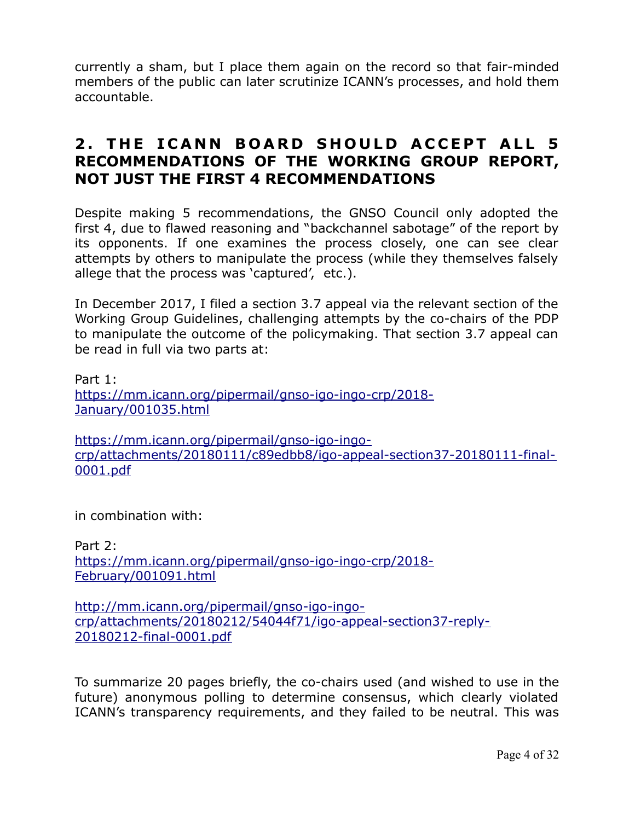currently a sham, but I place them again on the record so that fair-minded members of the public can later scrutinize ICANN's processes, and hold them accountable.

#### **2. THE ICANN BOARD SHOULD ACCEPT ALL 5 RECOMMENDATIONS OF THE WORKING GROUP REPORT, NOT JUST THE FIRST 4 RECOMMENDATIONS**

Despite making 5 recommendations, the GNSO Council only adopted the first 4, due to flawed reasoning and "backchannel sabotage" of the report by its opponents. If one examines the process closely, one can see clear attempts by others to manipulate the process (while they themselves falsely allege that the process was 'captured', etc.).

In December 2017, I filed a section 3.7 appeal via the relevant section of the Working Group Guidelines, challenging attempts by the co-chairs of the PDP to manipulate the outcome of the policymaking. That section 3.7 appeal can be read in full via two parts at:

Part 1: [https://mm.icann.org/pipermail/gnso-igo-ingo-crp/2018-](https://mm.icann.org/pipermail/gnso-igo-ingo-crp/2018-January/001035.html) [January/001035.html](https://mm.icann.org/pipermail/gnso-igo-ingo-crp/2018-January/001035.html)

[https://mm.icann.org/pipermail/gnso-igo-ingo](https://mm.icann.org/pipermail/gnso-igo-ingo-crp/attachments/20180111/c89edbb8/igo-appeal-section37-20180111-final-0001.pdf)[crp/attachments/20180111/c89edbb8/igo-appeal-section37-20180111-final-](https://mm.icann.org/pipermail/gnso-igo-ingo-crp/attachments/20180111/c89edbb8/igo-appeal-section37-20180111-final-0001.pdf)[0001.pdf](https://mm.icann.org/pipermail/gnso-igo-ingo-crp/attachments/20180111/c89edbb8/igo-appeal-section37-20180111-final-0001.pdf)

in combination with:

Part 2: [https://mm.icann.org/pipermail/gnso-igo-ingo-crp/2018-](https://mm.icann.org/pipermail/gnso-igo-ingo-crp/2018-February/001091.html) [February/001091.html](https://mm.icann.org/pipermail/gnso-igo-ingo-crp/2018-February/001091.html)

[http://mm.icann.org/pipermail/gnso-igo-ingo](http://mm.icann.org/pipermail/gnso-igo-ingo-crp/attachments/20180212/54044f71/igo-appeal-section37-reply-20180212-final-0001.pdf)[crp/attachments/20180212/54044f71/igo-appeal-section37-reply-](http://mm.icann.org/pipermail/gnso-igo-ingo-crp/attachments/20180212/54044f71/igo-appeal-section37-reply-20180212-final-0001.pdf)[20180212-final-0001.pdf](http://mm.icann.org/pipermail/gnso-igo-ingo-crp/attachments/20180212/54044f71/igo-appeal-section37-reply-20180212-final-0001.pdf)

To summarize 20 pages briefly, the co-chairs used (and wished to use in the future) anonymous polling to determine consensus, which clearly violated ICANN's transparency requirements, and they failed to be neutral. This was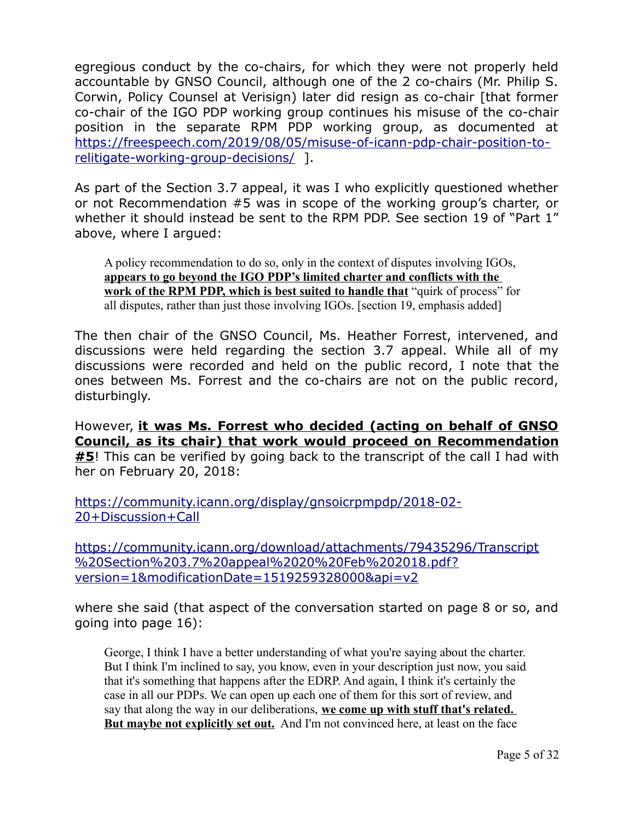egregious conduct by the co-chairs, for which they were not properly held accountable by GNSO Council, although one of the 2 co-chairs (Mr. Philip S. Corwin, Policy Counsel at Verisign) later did resign as co-chair [that former co-chair of the IGO PDP working group continues his misuse of the co-chair position in the separate RPM PDP working group, as documented at [https://freespeech.com/2019/08/05/misuse-of-icann-pdp-chair-position-to](https://freespeech.com/2019/08/05/misuse-of-icann-pdp-chair-position-to-relitigate-working-group-decisions/)[relitigate-working-group-decisions/](https://freespeech.com/2019/08/05/misuse-of-icann-pdp-chair-position-to-relitigate-working-group-decisions/) ].

As part of the Section 3.7 appeal, it was I who explicitly questioned whether or not Recommendation #5 was in scope of the working group's charter, or whether it should instead be sent to the RPM PDP. See section 19 of "Part 1" above, where I argued:

A policy recommendation to do so, only in the context of disputes involving IGOs, **appears to go beyond the IGO PDP's limited charter and conflicts with the work of the RPM PDP, which is best suited to handle that** "quirk of process" for all disputes, rather than just those involving IGOs. [section 19, emphasis added]

The then chair of the GNSO Council, Ms. Heather Forrest, intervened, and discussions were held regarding the section 3.7 appeal. While all of my discussions were recorded and held on the public record, I note that the ones between Ms. Forrest and the co-chairs are not on the public record, disturbingly.

However, **it was Ms. Forrest who decided (acting on behalf of GNSO Council, as its chair) that work would proceed on Recommendation #5**! This can be verified by going back to the transcript of the call I had with her on February 20, 2018:

[https://community.icann.org/display/gnsoicrpmpdp/2018-02-](https://community.icann.org/display/gnsoicrpmpdp/2018-02-20+Discussion+Call) [20+Discussion+Call](https://community.icann.org/display/gnsoicrpmpdp/2018-02-20+Discussion+Call)

[https://community.icann.org/download/attachments/79435296/Transcript](https://community.icann.org/download/attachments/79435296/Transcript%20Section%203.7%20appeal%2020%20Feb%202018.pdf?version=1&modificationDate=1519259328000&api=v2) [%20Section%203.7%20appeal%2020%20Feb%202018.pdf?](https://community.icann.org/download/attachments/79435296/Transcript%20Section%203.7%20appeal%2020%20Feb%202018.pdf?version=1&modificationDate=1519259328000&api=v2) [version=1&modificationDate=1519259328000&api=v2](https://community.icann.org/download/attachments/79435296/Transcript%20Section%203.7%20appeal%2020%20Feb%202018.pdf?version=1&modificationDate=1519259328000&api=v2)

where she said (that aspect of the conversation started on page 8 or so, and going into page 16):

George, I think I have a better understanding of what you're saying about the charter. But I think I'm inclined to say, you know, even in your description just now, you said that it's something that happens after the EDRP. And again, I think it's certainly the case in all our PDPs. We can open up each one of them for this sort of review, and say that along the way in our deliberations, **we come up with stuff that's related. But maybe not explicitly set out.** And I'm not convinced here, at least on the face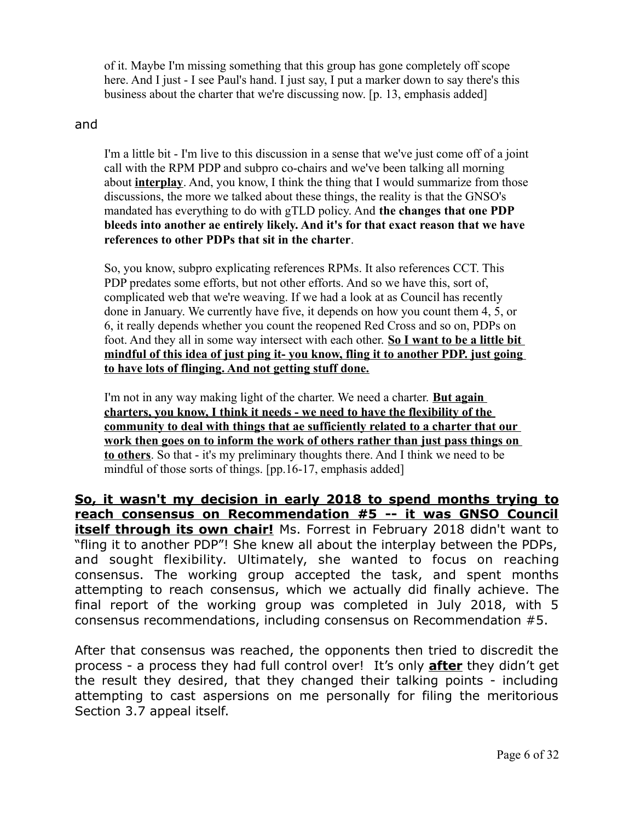of it. Maybe I'm missing something that this group has gone completely off scope here. And I just - I see Paul's hand. I just say, I put a marker down to say there's this business about the charter that we're discussing now. [p. 13, emphasis added]

#### and

I'm a little bit - I'm live to this discussion in a sense that we've just come off of a joint call with the RPM PDP and subpro co-chairs and we've been talking all morning about **interplay**. And, you know, I think the thing that I would summarize from those discussions, the more we talked about these things, the reality is that the GNSO's mandated has everything to do with gTLD policy. And **the changes that one PDP bleeds into another ae entirely likely. And it's for that exact reason that we have references to other PDPs that sit in the charter**.

So, you know, subpro explicating references RPMs. It also references CCT. This PDP predates some efforts, but not other efforts. And so we have this, sort of, complicated web that we're weaving. If we had a look at as Council has recently done in January. We currently have five, it depends on how you count them 4, 5, or 6, it really depends whether you count the reopened Red Cross and so on, PDPs on foot. And they all in some way intersect with each other. **So I want to be a little bit mindful of this idea of just ping it- you know, fling it to another PDP. just going to have lots of flinging. And not getting stuff done.**

I'm not in any way making light of the charter. We need a charter. **But again charters, you know, I think it needs - we need to have the flexibility of the community to deal with things that ae sufficiently related to a charter that our work then goes on to inform the work of others rather than just pass things on to others**. So that - it's my preliminary thoughts there. And I think we need to be mindful of those sorts of things. [pp.16-17, emphasis added]

**So, it wasn't my decision in early 2018 to spend months trying to reach consensus on Recommendation #5 -- it was GNSO Council itself through its own chair!** Ms. Forrest in February 2018 didn't want to "fling it to another PDP"! She knew all about the interplay between the PDPs, and sought flexibility. Ultimately, she wanted to focus on reaching consensus. The working group accepted the task, and spent months attempting to reach consensus, which we actually did finally achieve. The final report of the working group was completed in July 2018, with 5 consensus recommendations, including consensus on Recommendation #5.

After that consensus was reached, the opponents then tried to discredit the process - a process they had full control over! It's only **after** they didn't get the result they desired, that they changed their talking points - including attempting to cast aspersions on me personally for filing the meritorious Section 3.7 appeal itself.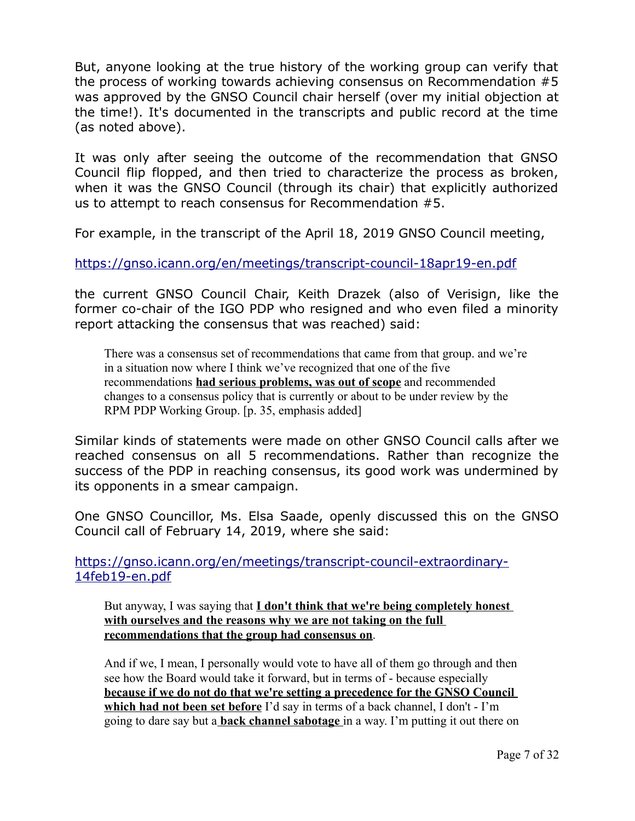But, anyone looking at the true history of the working group can verify that the process of working towards achieving consensus on Recommendation #5 was approved by the GNSO Council chair herself (over my initial objection at the time!). It's documented in the transcripts and public record at the time (as noted above).

It was only after seeing the outcome of the recommendation that GNSO Council flip flopped, and then tried to characterize the process as broken, when it was the GNSO Council (through its chair) that explicitly authorized us to attempt to reach consensus for Recommendation #5.

For example, in the transcript of the April 18, 2019 GNSO Council meeting,

<https://gnso.icann.org/en/meetings/transcript-council-18apr19-en.pdf>

the current GNSO Council Chair, Keith Drazek (also of Verisign, like the former co-chair of the IGO PDP who resigned and who even filed a minority report attacking the consensus that was reached) said:

There was a consensus set of recommendations that came from that group. and we're in a situation now where I think we've recognized that one of the five recommendations **had serious problems, was out of scope** and recommended changes to a consensus policy that is currently or about to be under review by the RPM PDP Working Group. [p. 35, emphasis added]

Similar kinds of statements were made on other GNSO Council calls after we reached consensus on all 5 recommendations. Rather than recognize the success of the PDP in reaching consensus, its good work was undermined by its opponents in a smear campaign.

One GNSO Councillor, Ms. Elsa Saade, openly discussed this on the GNSO Council call of February 14, 2019, where she said:

[https://gnso.icann.org/en/meetings/transcript-council-extraordinary-](https://gnso.icann.org/en/meetings/transcript-council-extraordinary-14feb19-en.pdf)[14feb19-en.pdf](https://gnso.icann.org/en/meetings/transcript-council-extraordinary-14feb19-en.pdf)

But anyway, I was saying that **I don't think that we're being completely honest with ourselves and the reasons why we are not taking on the full recommendations that the group had consensus on**.

And if we, I mean, I personally would vote to have all of them go through and then see how the Board would take it forward, but in terms of - because especially **because if we do not do that we're setting a precedence for the GNSO Council which had not been set before** I'd say in terms of a back channel, I don't - I'm going to dare say but a **back channel sabotage** in a way. I'm putting it out there on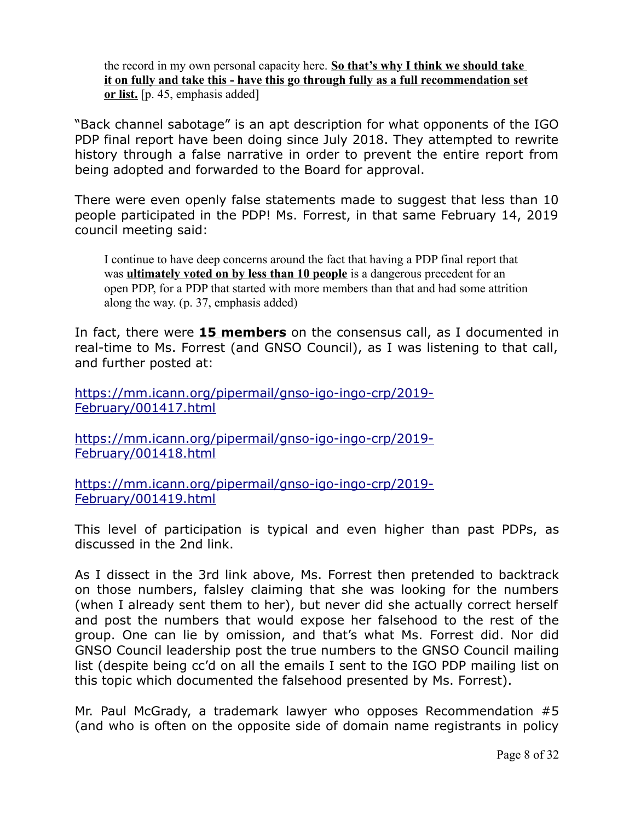the record in my own personal capacity here. **So that's why I think we should take it on fully and take this - have this go through fully as a full recommendation set or list.** [p. 45, emphasis added]

"Back channel sabotage" is an apt description for what opponents of the IGO PDP final report have been doing since July 2018. They attempted to rewrite history through a false narrative in order to prevent the entire report from being adopted and forwarded to the Board for approval.

There were even openly false statements made to suggest that less than 10 people participated in the PDP! Ms. Forrest, in that same February 14, 2019 council meeting said:

I continue to have deep concerns around the fact that having a PDP final report that was **ultimately voted on by less than 10 people** is a dangerous precedent for an open PDP, for a PDP that started with more members than that and had some attrition along the way. (p. 37, emphasis added)

In fact, there were **15 members** on the consensus call, as I documented in real-time to Ms. Forrest (and GNSO Council), as I was listening to that call, and further posted at:

[https://mm.icann.org/pipermail/gnso-igo-ingo-crp/2019-](https://mm.icann.org/pipermail/gnso-igo-ingo-crp/2019-February/001417.html) [February/001417.html](https://mm.icann.org/pipermail/gnso-igo-ingo-crp/2019-February/001417.html)

[https://mm.icann.org/pipermail/gnso-igo-ingo-crp/2019-](https://mm.icann.org/pipermail/gnso-igo-ingo-crp/2019-February/001418.html) [February/001418.html](https://mm.icann.org/pipermail/gnso-igo-ingo-crp/2019-February/001418.html)

[https://mm.icann.org/pipermail/gnso-igo-ingo-crp/2019-](https://mm.icann.org/pipermail/gnso-igo-ingo-crp/2019-February/001419.html) [February/001419.html](https://mm.icann.org/pipermail/gnso-igo-ingo-crp/2019-February/001419.html)

This level of participation is typical and even higher than past PDPs, as discussed in the 2nd link.

As I dissect in the 3rd link above, Ms. Forrest then pretended to backtrack on those numbers, falsley claiming that she was looking for the numbers (when I already sent them to her), but never did she actually correct herself and post the numbers that would expose her falsehood to the rest of the group. One can lie by omission, and that's what Ms. Forrest did. Nor did GNSO Council leadership post the true numbers to the GNSO Council mailing list (despite being cc'd on all the emails I sent to the IGO PDP mailing list on this topic which documented the falsehood presented by Ms. Forrest).

Mr. Paul McGrady, a trademark lawyer who opposes Recommendation #5 (and who is often on the opposite side of domain name registrants in policy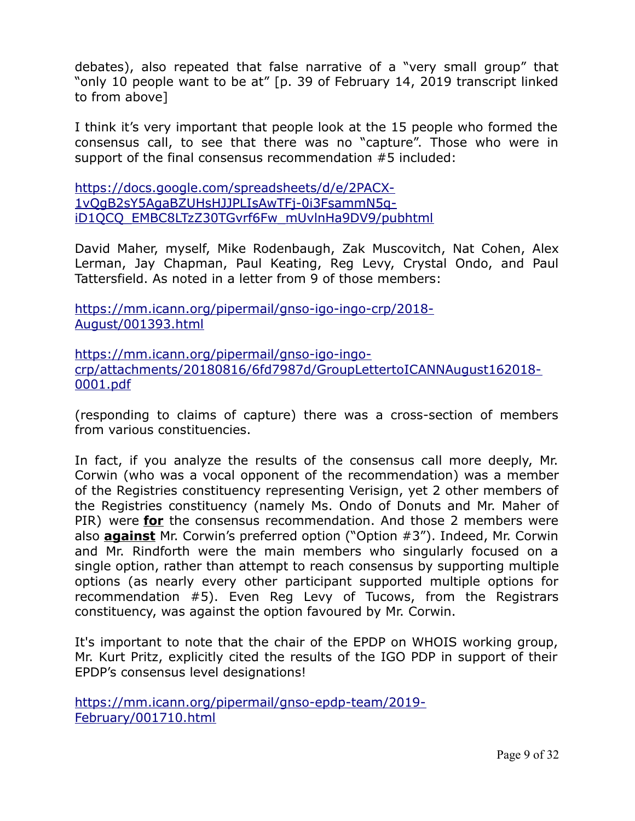debates), also repeated that false narrative of a "very small group" that "only 10 people want to be at" [p. 39 of February 14, 2019 transcript linked to from above]

I think it's very important that people look at the 15 people who formed the consensus call, to see that there was no "capture". Those who were in support of the final consensus recommendation #5 included:

[https://docs.google.com/spreadsheets/d/e/2PACX-](https://docs.google.com/spreadsheets/d/e/2PACX-1vQgB2sY5AgaBZUHsHJJPLIsAwTFj-0i3FsammN5q-iD1QCQ_EMBC8LTzZ30TGvrf6Fw_mUvlnHa9DV9/pubhtml)[1vQgB2sY5AgaBZUHsHJJPLIsAwTFj-0i3FsammN5q](https://docs.google.com/spreadsheets/d/e/2PACX-1vQgB2sY5AgaBZUHsHJJPLIsAwTFj-0i3FsammN5q-iD1QCQ_EMBC8LTzZ30TGvrf6Fw_mUvlnHa9DV9/pubhtml)[iD1QCQ\\_EMBC8LTzZ30TGvrf6Fw\\_mUvlnHa9DV9/pubhtml](https://docs.google.com/spreadsheets/d/e/2PACX-1vQgB2sY5AgaBZUHsHJJPLIsAwTFj-0i3FsammN5q-iD1QCQ_EMBC8LTzZ30TGvrf6Fw_mUvlnHa9DV9/pubhtml)

David Maher, myself, Mike Rodenbaugh, Zak Muscovitch, Nat Cohen, Alex Lerman, Jay Chapman, Paul Keating, Reg Levy, Crystal Ondo, and Paul Tattersfield. As noted in a letter from 9 of those members:

[https://mm.icann.org/pipermail/gnso-igo-ingo-crp/2018-](https://mm.icann.org/pipermail/gnso-igo-ingo-crp/2018-August/001393.html) [August/001393.html](https://mm.icann.org/pipermail/gnso-igo-ingo-crp/2018-August/001393.html)

[https://mm.icann.org/pipermail/gnso-igo-ingo](https://mm.icann.org/pipermail/gnso-igo-ingo-crp/attachments/20180816/6fd7987d/GroupLettertoICANNAugust162018-0001.pdf)[crp/attachments/20180816/6fd7987d/GroupLettertoICANNAugust162018-](https://mm.icann.org/pipermail/gnso-igo-ingo-crp/attachments/20180816/6fd7987d/GroupLettertoICANNAugust162018-0001.pdf) [0001.pdf](https://mm.icann.org/pipermail/gnso-igo-ingo-crp/attachments/20180816/6fd7987d/GroupLettertoICANNAugust162018-0001.pdf)

(responding to claims of capture) there was a cross-section of members from various constituencies.

In fact, if you analyze the results of the consensus call more deeply, Mr. Corwin (who was a vocal opponent of the recommendation) was a member of the Registries constituency representing Verisign, yet 2 other members of the Registries constituency (namely Ms. Ondo of Donuts and Mr. Maher of PIR) were **for** the consensus recommendation. And those 2 members were also **against** Mr. Corwin's preferred option ("Option #3"). Indeed, Mr. Corwin and Mr. Rindforth were the main members who singularly focused on a single option, rather than attempt to reach consensus by supporting multiple options (as nearly every other participant supported multiple options for recommendation #5). Even Reg Levy of Tucows, from the Registrars constituency, was against the option favoured by Mr. Corwin.

It's important to note that the chair of the EPDP on WHOIS working group, Mr. Kurt Pritz, explicitly cited the results of the IGO PDP in support of their EPDP's consensus level designations!

[https://mm.icann.org/pipermail/gnso-epdp-team/2019-](https://mm.icann.org/pipermail/gnso-epdp-team/2019-February/001710.html) [February/001710.html](https://mm.icann.org/pipermail/gnso-epdp-team/2019-February/001710.html)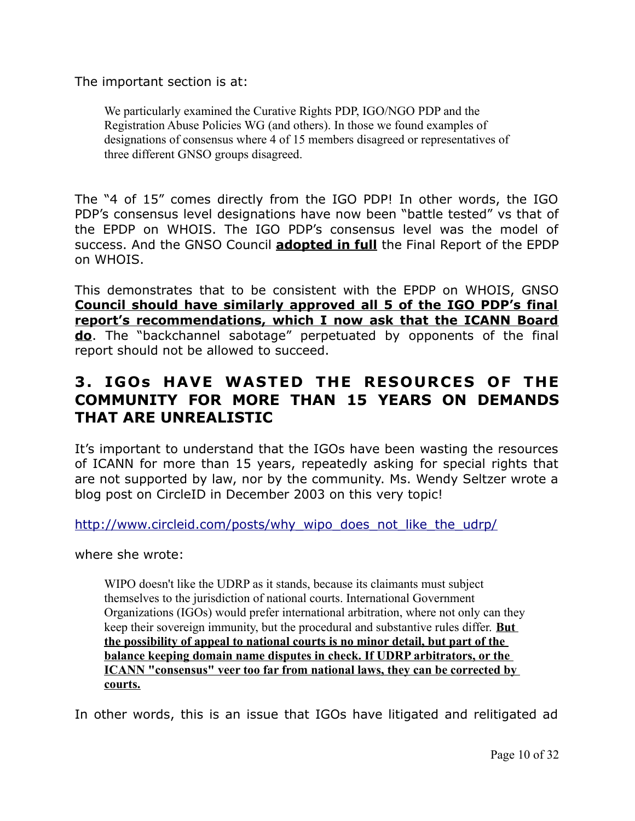The important section is at:

We particularly examined the Curative Rights PDP, IGO/NGO PDP and the Registration Abuse Policies WG (and others). In those we found examples of designations of consensus where 4 of 15 members disagreed or representatives of three different GNSO groups disagreed.

The "4 of 15" comes directly from the IGO PDP! In other words, the IGO PDP's consensus level designations have now been "battle tested" vs that of the EPDP on WHOIS. The IGO PDP's consensus level was the model of success. And the GNSO Council **adopted in full** the Final Report of the EPDP on WHOIS.

This demonstrates that to be consistent with the EPDP on WHOIS, GNSO **Council should have similarly approved all 5 of the IGO PDP's final report's recommendations, which I now ask that the ICANN Board do**. The "backchannel sabotage" perpetuated by opponents of the final report should not be allowed to succeed.

### **3 . IGOs HAVE WASTED THE RESOURCES OF THE COMMUNITY FOR MORE THAN 15 YEARS ON DEMANDS THAT ARE UNREALISTIC**

It's important to understand that the IGOs have been wasting the resources of ICANN for more than 15 years, repeatedly asking for special rights that are not supported by law, nor by the community. Ms. Wendy Seltzer wrote a blog post on CircleID in December 2003 on this very topic!

[http://www.circleid.com/posts/why\\_wipo\\_does\\_not\\_like\\_the\\_udrp/](http://www.circleid.com/posts/why_wipo_does_not_like_the_udrp/)

where she wrote:

WIPO doesn't like the UDRP as it stands, because its claimants must subject themselves to the jurisdiction of national courts. International Government Organizations (IGOs) would prefer international arbitration, where not only can they keep their sovereign immunity, but the procedural and substantive rules differ. **But the possibility of appeal to national courts is no minor detail, but part of the balance keeping domain name disputes in check. If UDRP arbitrators, or the ICANN "consensus" veer too far from national laws, they can be corrected by courts.**

In other words, this is an issue that IGOs have litigated and relitigated ad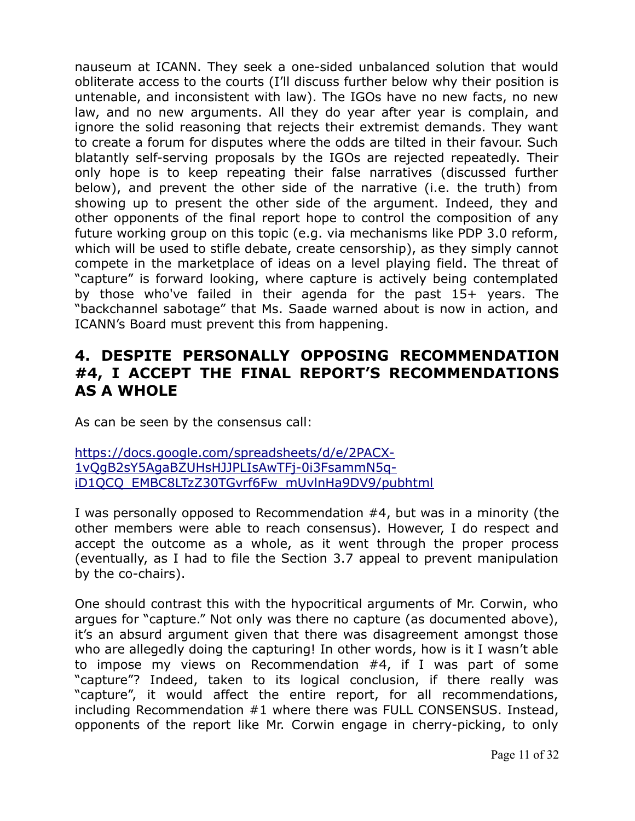nauseum at ICANN. They seek a one-sided unbalanced solution that would obliterate access to the courts (I'll discuss further below why their position is untenable, and inconsistent with law). The IGOs have no new facts, no new law, and no new arguments. All they do year after year is complain, and ignore the solid reasoning that rejects their extremist demands. They want to create a forum for disputes where the odds are tilted in their favour. Such blatantly self-serving proposals by the IGOs are rejected repeatedly. Their only hope is to keep repeating their false narratives (discussed further below), and prevent the other side of the narrative (i.e. the truth) from showing up to present the other side of the argument. Indeed, they and other opponents of the final report hope to control the composition of any future working group on this topic (e.g. via mechanisms like PDP 3.0 reform, which will be used to stifle debate, create censorship), as they simply cannot compete in the marketplace of ideas on a level playing field. The threat of "capture" is forward looking, where capture is actively being contemplated by those who've failed in their agenda for the past 15+ years. The "backchannel sabotage" that Ms. Saade warned about is now in action, and ICANN's Board must prevent this from happening.

### **4. DESPITE PERSONALLY OPPOSING RECOMMENDATION #4, I ACCEPT THE FINAL REPORT'S RECOMMENDATIONS AS A WHOLE**

As can be seen by the consensus call:

[https://docs.google.com/spreadsheets/d/e/2PACX-](https://docs.google.com/spreadsheets/d/e/2PACX-1vQgB2sY5AgaBZUHsHJJPLIsAwTFj-0i3FsammN5q-iD1QCQ_EMBC8LTzZ30TGvrf6Fw_mUvlnHa9DV9/pubhtml)[1vQgB2sY5AgaBZUHsHJJPLIsAwTFj-0i3FsammN5q](https://docs.google.com/spreadsheets/d/e/2PACX-1vQgB2sY5AgaBZUHsHJJPLIsAwTFj-0i3FsammN5q-iD1QCQ_EMBC8LTzZ30TGvrf6Fw_mUvlnHa9DV9/pubhtml)[iD1QCQ\\_EMBC8LTzZ30TGvrf6Fw\\_mUvlnHa9DV9/pubhtml](https://docs.google.com/spreadsheets/d/e/2PACX-1vQgB2sY5AgaBZUHsHJJPLIsAwTFj-0i3FsammN5q-iD1QCQ_EMBC8LTzZ30TGvrf6Fw_mUvlnHa9DV9/pubhtml)

I was personally opposed to Recommendation #4, but was in a minority (the other members were able to reach consensus). However, I do respect and accept the outcome as a whole, as it went through the proper process (eventually, as I had to file the Section 3.7 appeal to prevent manipulation by the co-chairs).

One should contrast this with the hypocritical arguments of Mr. Corwin, who argues for "capture." Not only was there no capture (as documented above), it's an absurd argument given that there was disagreement amongst those who are allegedly doing the capturing! In other words, how is it I wasn't able to impose my views on Recommendation #4, if I was part of some "capture"? Indeed, taken to its logical conclusion, if there really was "capture", it would affect the entire report, for all recommendations, including Recommendation #1 where there was FULL CONSENSUS. Instead, opponents of the report like Mr. Corwin engage in cherry-picking, to only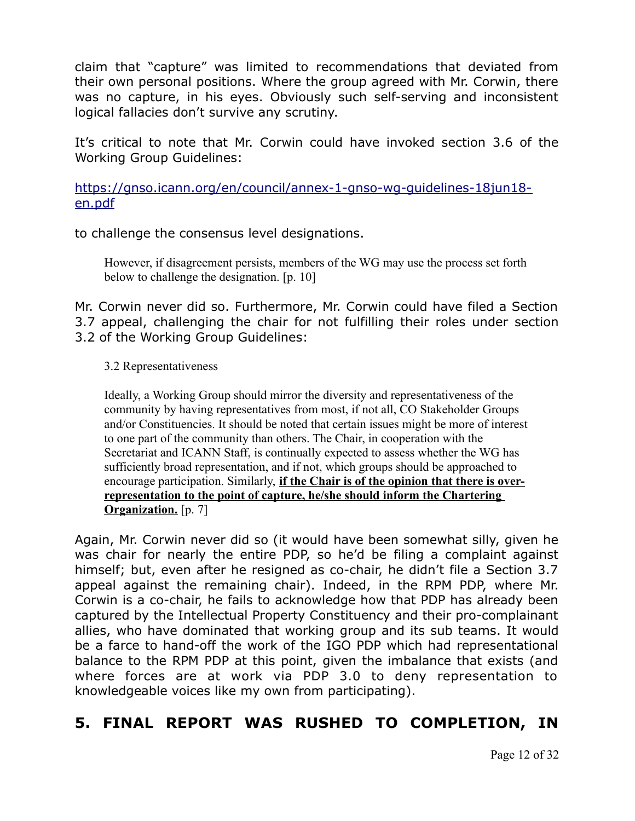claim that "capture" was limited to recommendations that deviated from their own personal positions. Where the group agreed with Mr. Corwin, there was no capture, in his eyes. Obviously such self-serving and inconsistent logical fallacies don't survive any scrutiny.

It's critical to note that Mr. Corwin could have invoked section 3.6 of the Working Group Guidelines:

[https://gnso.icann.org/en/council/annex-1-gnso-wg-guidelines-18jun18](https://gnso.icann.org/en/council/annex-1-gnso-wg-guidelines-18jun18-en.pdf) [en.pdf](https://gnso.icann.org/en/council/annex-1-gnso-wg-guidelines-18jun18-en.pdf)

to challenge the consensus level designations.

However, if disagreement persists, members of the WG may use the process set forth below to challenge the designation. [p. 10]

Mr. Corwin never did so. Furthermore, Mr. Corwin could have filed a Section 3.7 appeal, challenging the chair for not fulfilling their roles under section 3.2 of the Working Group Guidelines:

#### 3.2 Representativeness

Ideally, a Working Group should mirror the diversity and representativeness of the community by having representatives from most, if not all, CO Stakeholder Groups and/or Constituencies. It should be noted that certain issues might be more of interest to one part of the community than others. The Chair, in cooperation with the Secretariat and ICANN Staff, is continually expected to assess whether the WG has sufficiently broad representation, and if not, which groups should be approached to encourage participation. Similarly, **if the Chair is of the opinion that there is overrepresentation to the point of capture, he/she should inform the Chartering Organization.** [p. 7]

Again, Mr. Corwin never did so (it would have been somewhat silly, given he was chair for nearly the entire PDP, so he'd be filing a complaint against himself; but, even after he resigned as co-chair, he didn't file a Section 3.7 appeal against the remaining chair). Indeed, in the RPM PDP, where Mr. Corwin is a co-chair, he fails to acknowledge how that PDP has already been captured by the Intellectual Property Constituency and their pro-complainant allies, who have dominated that working group and its sub teams. It would be a farce to hand-off the work of the IGO PDP which had representational balance to the RPM PDP at this point, given the imbalance that exists (and where forces are at work via PDP 3.0 to deny representation to knowledgeable voices like my own from participating).

## **5. FINAL REPORT WAS RUSHED TO COMPLETION, IN**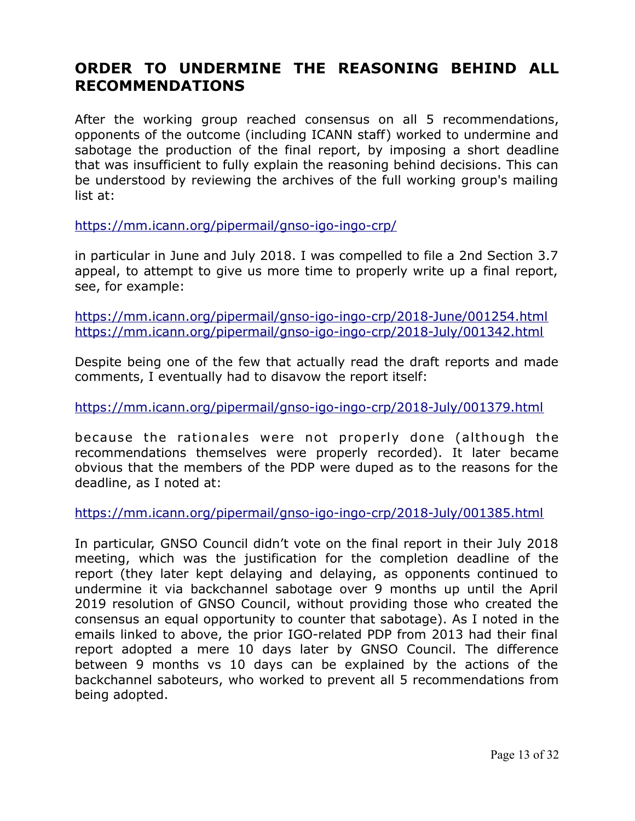## **ORDER TO UNDERMINE THE REASONING BEHIND ALL RECOMMENDATIONS**

After the working group reached consensus on all 5 recommendations, opponents of the outcome (including ICANN staff) worked to undermine and sabotage the production of the final report, by imposing a short deadline that was insufficient to fully explain the reasoning behind decisions. This can be understood by reviewing the archives of the full working group's mailing list at:

<https://mm.icann.org/pipermail/gnso-igo-ingo-crp/>

in particular in June and July 2018. I was compelled to file a 2nd Section 3.7 appeal, to attempt to give us more time to properly write up a final report, see, for example:

<https://mm.icann.org/pipermail/gnso-igo-ingo-crp/2018-June/001254.html> <https://mm.icann.org/pipermail/gnso-igo-ingo-crp/2018-July/001342.html>

Despite being one of the few that actually read the draft reports and made comments, I eventually had to disavow the report itself:

<https://mm.icann.org/pipermail/gnso-igo-ingo-crp/2018-July/001379.html>

because the rationales were not properly done (although the recommendations themselves were properly recorded). It later became obvious that the members of the PDP were duped as to the reasons for the deadline, as I noted at:

<https://mm.icann.org/pipermail/gnso-igo-ingo-crp/2018-July/001385.html>

In particular, GNSO Council didn't vote on the final report in their July 2018 meeting, which was the justification for the completion deadline of the report (they later kept delaying and delaying, as opponents continued to undermine it via backchannel sabotage over 9 months up until the April 2019 resolution of GNSO Council, without providing those who created the consensus an equal opportunity to counter that sabotage). As I noted in the emails linked to above, the prior IGO-related PDP from 2013 had their final report adopted a mere 10 days later by GNSO Council. The difference between 9 months vs 10 days can be explained by the actions of the backchannel saboteurs, who worked to prevent all 5 recommendations from being adopted.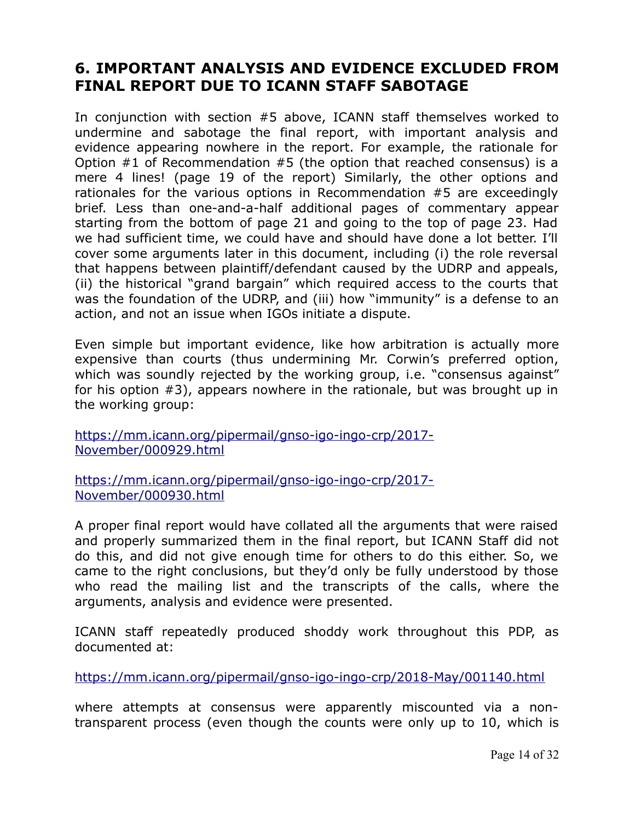### **6. IMPORTANT ANALYSIS AND EVIDENCE EXCLUDED FROM FINAL REPORT DUE TO ICANN STAFF SABOTAGE**

In conjunction with section #5 above, ICANN staff themselves worked to undermine and sabotage the final report, with important analysis and evidence appearing nowhere in the report. For example, the rationale for Option #1 of Recommendation #5 (the option that reached consensus) is a mere 4 lines! (page 19 of the report) Similarly, the other options and rationales for the various options in Recommendation #5 are exceedingly brief. Less than one-and-a-half additional pages of commentary appear starting from the bottom of page 21 and going to the top of page 23. Had we had sufficient time, we could have and should have done a lot better. I'll cover some arguments later in this document, including (i) the role reversal that happens between plaintiff/defendant caused by the UDRP and appeals, (ii) the historical "grand bargain" which required access to the courts that was the foundation of the UDRP, and (iii) how "immunity" is a defense to an action, and not an issue when IGOs initiate a dispute.

Even simple but important evidence, like how arbitration is actually more expensive than courts (thus undermining Mr. Corwin's preferred option, which was soundly rejected by the working group, i.e. "consensus against" for his option #3), appears nowhere in the rationale, but was brought up in the working group:

[https://mm.icann.org/pipermail/gnso-igo-ingo-crp/2017-](https://mm.icann.org/pipermail/gnso-igo-ingo-crp/2017-November/000929.html) [November/000929.html](https://mm.icann.org/pipermail/gnso-igo-ingo-crp/2017-November/000929.html)

[https://mm.icann.org/pipermail/gnso-igo-ingo-crp/2017-](https://mm.icann.org/pipermail/gnso-igo-ingo-crp/2017-November/000930.html) [November/000930.html](https://mm.icann.org/pipermail/gnso-igo-ingo-crp/2017-November/000930.html)

A proper final report would have collated all the arguments that were raised and properly summarized them in the final report, but ICANN Staff did not do this, and did not give enough time for others to do this either. So, we came to the right conclusions, but they'd only be fully understood by those who read the mailing list and the transcripts of the calls, where the arguments, analysis and evidence were presented.

ICANN staff repeatedly produced shoddy work throughout this PDP, as documented at:

<https://mm.icann.org/pipermail/gnso-igo-ingo-crp/2018-May/001140.html>

where attempts at consensus were apparently miscounted via a nontransparent process (even though the counts were only up to 10, which is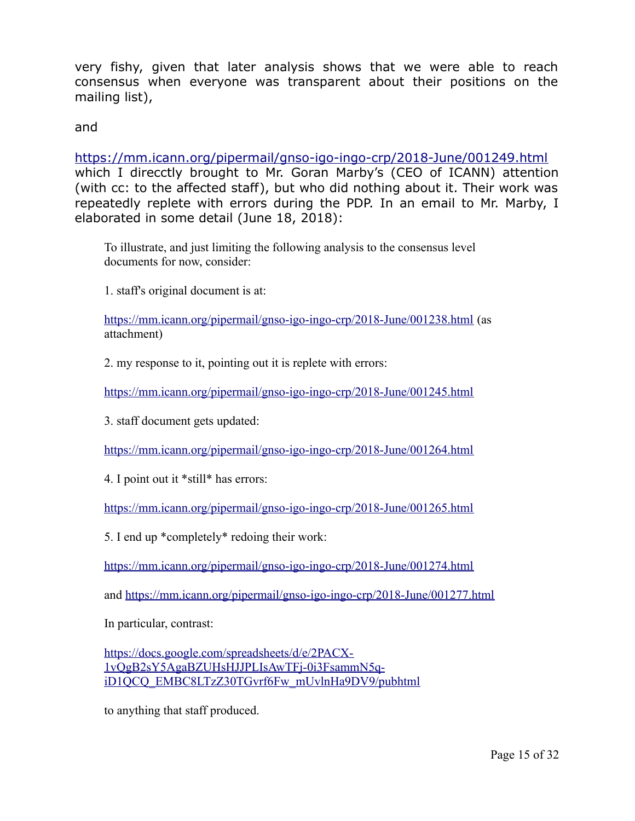very fishy, given that later analysis shows that we were able to reach consensus when everyone was transparent about their positions on the mailing list),

and

<https://mm.icann.org/pipermail/gnso-igo-ingo-crp/2018-June/001249.html> which I direcctly brought to Mr. Goran Marby's (CEO of ICANN) attention (with cc: to the affected staff), but who did nothing about it. Their work was repeatedly replete with errors during the PDP. In an email to Mr. Marby, I elaborated in some detail (June 18, 2018):

To illustrate, and just limiting the following analysis to the consensus level documents for now, consider:

1. staff's original document is at:

<https://mm.icann.org/pipermail/gnso-igo-ingo-crp/2018-June/001238.html>(as attachment)

2. my response to it, pointing out it is replete with errors:

<https://mm.icann.org/pipermail/gnso-igo-ingo-crp/2018-June/001245.html>

3. staff document gets updated:

<https://mm.icann.org/pipermail/gnso-igo-ingo-crp/2018-June/001264.html>

4. I point out it \*still\* has errors:

<https://mm.icann.org/pipermail/gnso-igo-ingo-crp/2018-June/001265.html>

5. I end up \*completely\* redoing their work:

<https://mm.icann.org/pipermail/gnso-igo-ingo-crp/2018-June/001274.html>

and<https://mm.icann.org/pipermail/gnso-igo-ingo-crp/2018-June/001277.html>

In particular, contrast:

[https://docs.google.com/spreadsheets/d/e/2PACX-](https://docs.google.com/spreadsheets/d/e/2PACX-1vQgB2sY5AgaBZUHsHJJPLIsAwTFj-0i3FsammN5q-iD1QCQ_EMBC8LTzZ30TGvrf6Fw_mUvlnHa9DV9/pubhtml)[1vQgB2sY5AgaBZUHsHJJPLIsAwTFj-0i3FsammN5q](https://docs.google.com/spreadsheets/d/e/2PACX-1vQgB2sY5AgaBZUHsHJJPLIsAwTFj-0i3FsammN5q-iD1QCQ_EMBC8LTzZ30TGvrf6Fw_mUvlnHa9DV9/pubhtml)[iD1QCQ\\_EMBC8LTzZ30TGvrf6Fw\\_mUvlnHa9DV9/pubhtml](https://docs.google.com/spreadsheets/d/e/2PACX-1vQgB2sY5AgaBZUHsHJJPLIsAwTFj-0i3FsammN5q-iD1QCQ_EMBC8LTzZ30TGvrf6Fw_mUvlnHa9DV9/pubhtml)

to anything that staff produced.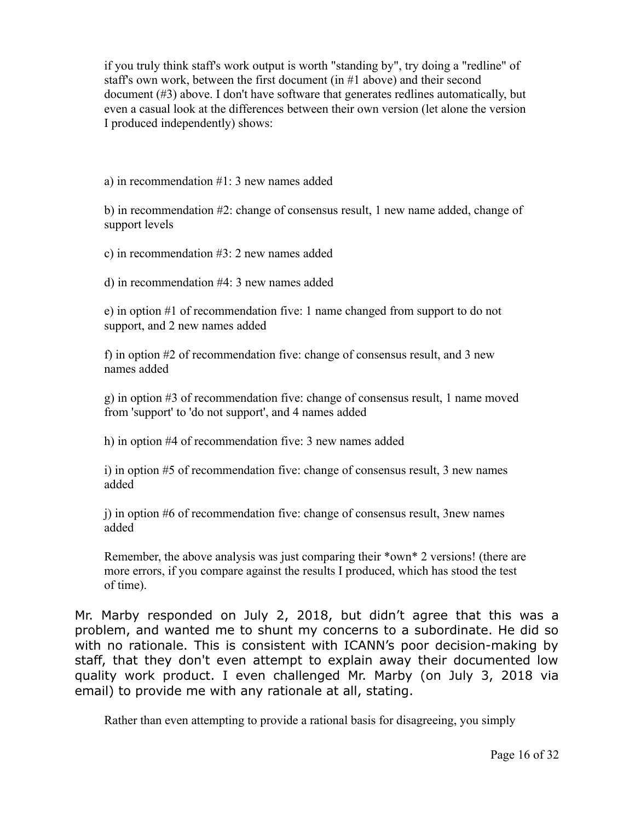if you truly think staff's work output is worth "standing by", try doing a "redline" of staff's own work, between the first document (in #1 above) and their second document (#3) above. I don't have software that generates redlines automatically, but even a casual look at the differences between their own version (let alone the version I produced independently) shows:

a) in recommendation #1: 3 new names added

b) in recommendation #2: change of consensus result, 1 new name added, change of support levels

c) in recommendation #3: 2 new names added

d) in recommendation #4: 3 new names added

e) in option #1 of recommendation five: 1 name changed from support to do not support, and 2 new names added

f) in option #2 of recommendation five: change of consensus result, and 3 new names added

g) in option #3 of recommendation five: change of consensus result, 1 name moved from 'support' to 'do not support', and 4 names added

h) in option #4 of recommendation five: 3 new names added

i) in option #5 of recommendation five: change of consensus result, 3 new names added

j) in option #6 of recommendation five: change of consensus result, 3new names added

Remember, the above analysis was just comparing their \*own\* 2 versions! (there are more errors, if you compare against the results I produced, which has stood the test of time).

Mr. Marby responded on July 2, 2018, but didn't agree that this was a problem, and wanted me to shunt my concerns to a subordinate. He did so with no rationale. This is consistent with ICANN's poor decision-making by staff, that they don't even attempt to explain away their documented low quality work product. I even challenged Mr. Marby (on July 3, 2018 via email) to provide me with any rationale at all, stating.

Rather than even attempting to provide a rational basis for disagreeing, you simply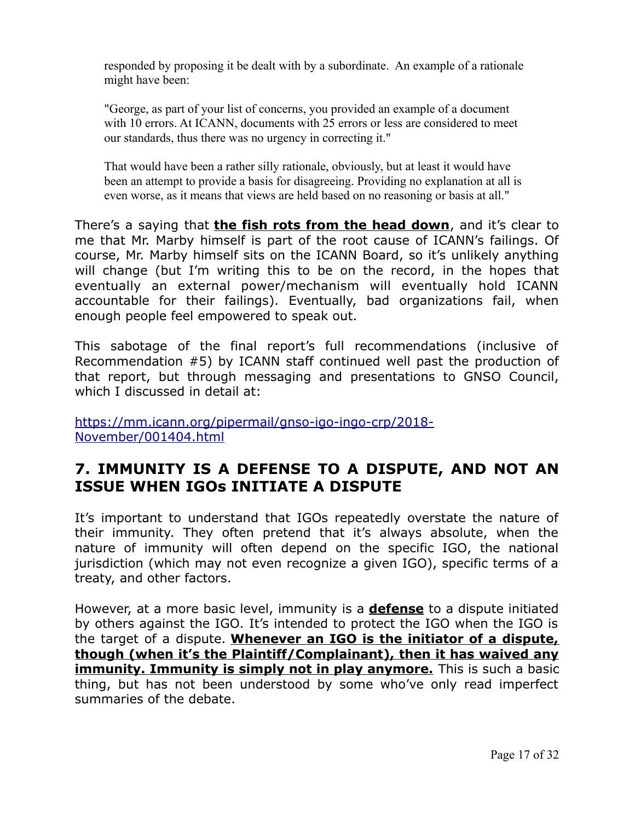responded by proposing it be dealt with by a subordinate. An example of a rationale might have been:

"George, as part of your list of concerns, you provided an example of a document with 10 errors. At ICANN, documents with 25 errors or less are considered to meet our standards, thus there was no urgency in correcting it."

That would have been a rather silly rationale, obviously, but at least it would have been an attempt to provide a basis for disagreeing. Providing no explanation at all is even worse, as it means that views are held based on no reasoning or basis at all."

There's a saying that **the fish rots from the head down**, and it's clear to me that Mr. Marby himself is part of the root cause of ICANN's failings. Of course, Mr. Marby himself sits on the ICANN Board, so it's unlikely anything will change (but I'm writing this to be on the record, in the hopes that eventually an external power/mechanism will eventually hold ICANN accountable for their failings). Eventually, bad organizations fail, when enough people feel empowered to speak out.

This sabotage of the final report's full recommendations (inclusive of Recommendation #5) by ICANN staff continued well past the production of that report, but through messaging and presentations to GNSO Council, which I discussed in detail at:

[https://mm.icann.org/pipermail/gnso-igo-ingo-crp/2018-](https://mm.icann.org/pipermail/gnso-igo-ingo-crp/2018-November/001404.html) [November/001404.html](https://mm.icann.org/pipermail/gnso-igo-ingo-crp/2018-November/001404.html)

#### **7. IMMUNITY IS A DEFENSE TO A DISPUTE, AND NOT AN ISSUE WHEN IGOs INITIATE A DISPUTE**

It's important to understand that IGOs repeatedly overstate the nature of their immunity. They often pretend that it's always absolute, when the nature of immunity will often depend on the specific IGO, the national jurisdiction (which may not even recognize a given IGO), specific terms of a treaty, and other factors.

However, at a more basic level, immunity is a **defense** to a dispute initiated by others against the IGO. It's intended to protect the IGO when the IGO is the target of a dispute. **Whenever an IGO is the initiator of a dispute, though (when it's the Plaintiff/Complainant), then it has waived any immunity. Immunity is simply not in play anymore.** This is such a basic thing, but has not been understood by some who've only read imperfect summaries of the debate.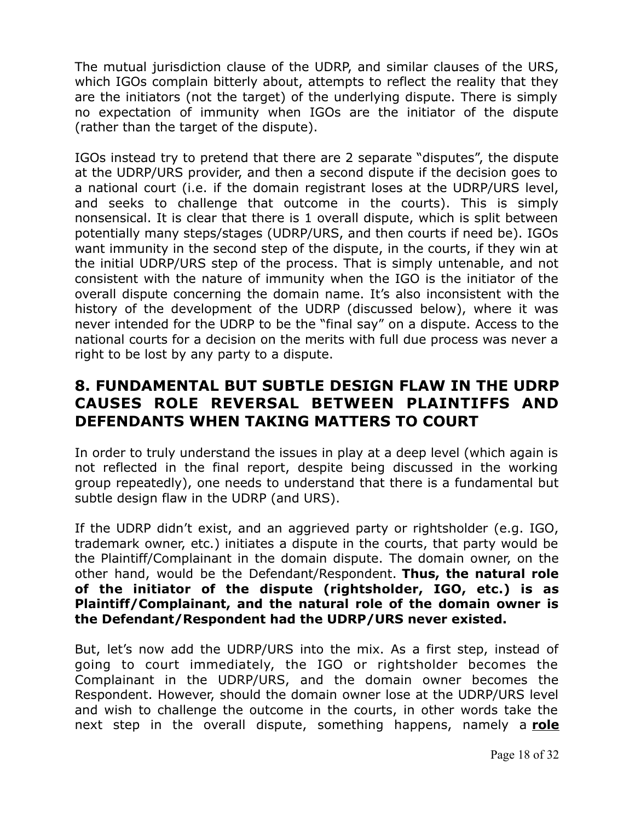The mutual jurisdiction clause of the UDRP, and similar clauses of the URS, which IGOs complain bitterly about, attempts to reflect the reality that they are the initiators (not the target) of the underlying dispute. There is simply no expectation of immunity when IGOs are the initiator of the dispute (rather than the target of the dispute).

IGOs instead try to pretend that there are 2 separate "disputes", the dispute at the UDRP/URS provider, and then a second dispute if the decision goes to a national court (i.e. if the domain registrant loses at the UDRP/URS level, and seeks to challenge that outcome in the courts). This is simply nonsensical. It is clear that there is 1 overall dispute, which is split between potentially many steps/stages (UDRP/URS, and then courts if need be). IGOs want immunity in the second step of the dispute, in the courts, if they win at the initial UDRP/URS step of the process. That is simply untenable, and not consistent with the nature of immunity when the IGO is the initiator of the overall dispute concerning the domain name. It's also inconsistent with the history of the development of the UDRP (discussed below), where it was never intended for the UDRP to be the "final say" on a dispute. Access to the national courts for a decision on the merits with full due process was never a right to be lost by any party to a dispute.

### **8. FUNDAMENTAL BUT SUBTLE DESIGN FLAW IN THE UDRP CAUSES ROLE REVERSAL BETWEEN PLAINTIFFS AND DEFENDANTS WHEN TAKING MATTERS TO COURT**

In order to truly understand the issues in play at a deep level (which again is not reflected in the final report, despite being discussed in the working group repeatedly), one needs to understand that there is a fundamental but subtle design flaw in the UDRP (and URS).

If the UDRP didn't exist, and an aggrieved party or rightsholder (e.g. IGO, trademark owner, etc.) initiates a dispute in the courts, that party would be the Plaintiff/Complainant in the domain dispute. The domain owner, on the other hand, would be the Defendant/Respondent. **Thus, the natural role of the initiator of the dispute (rightsholder, IGO, etc.) is as Plaintiff/Complainant, and the natural role of the domain owner is the Defendant/Respondent had the UDRP/URS never existed.**

But, let's now add the UDRP/URS into the mix. As a first step, instead of going to court immediately, the IGO or rightsholder becomes the Complainant in the UDRP/URS, and the domain owner becomes the Respondent. However, should the domain owner lose at the UDRP/URS level and wish to challenge the outcome in the courts, in other words take the next step in the overall dispute, something happens, namely a **role**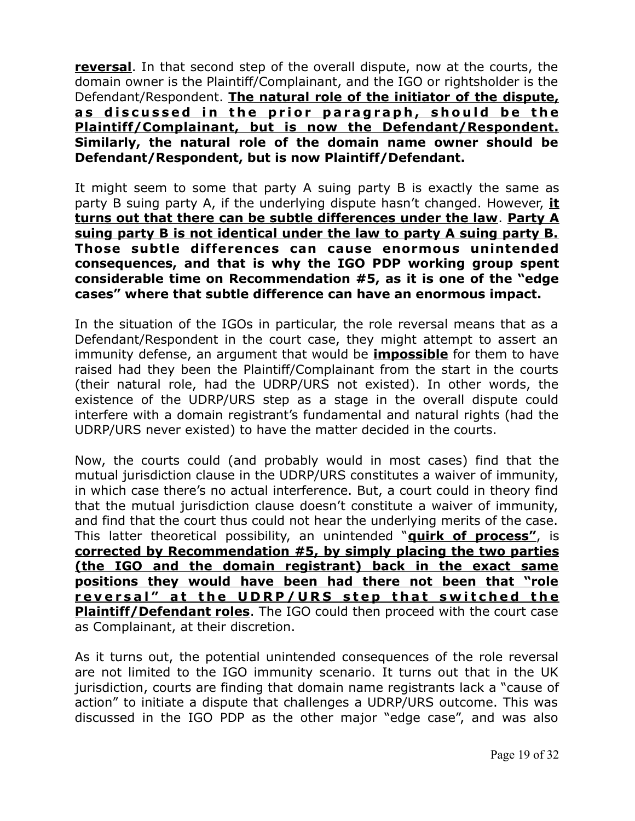**reversal**. In that second step of the overall dispute, now at the courts, the domain owner is the Plaintiff/Complainant, and the IGO or rightsholder is the Defendant/Respondent. **The natural role of the initiator of the dispute,** as discussed in the prior paragraph, should be the **Plaintiff/Complainant, but is now the Defendant/Respondent. Similarly, the natural role of the domain name owner should be Defendant/Respondent, but is now Plaintiff/Defendant.**

It might seem to some that party A suing party B is exactly the same as party B suing party A, if the underlying dispute hasn't changed. However, **it turns out that there can be subtle differences under the law**. **Party A suing party B is not identical under the law to party A suing party B.** Those subtle differences can cause enormous unintended **consequences, and that is why the IGO PDP working group spent considerable time on Recommendation #5, as it is one of the "edge cases" where that subtle difference can have an enormous impact.**

In the situation of the IGOs in particular, the role reversal means that as a Defendant/Respondent in the court case, they might attempt to assert an immunity defense, an argument that would be **impossible** for them to have raised had they been the Plaintiff/Complainant from the start in the courts (their natural role, had the UDRP/URS not existed). In other words, the existence of the UDRP/URS step as a stage in the overall dispute could interfere with a domain registrant's fundamental and natural rights (had the UDRP/URS never existed) to have the matter decided in the courts.

Now, the courts could (and probably would in most cases) find that the mutual jurisdiction clause in the UDRP/URS constitutes a waiver of immunity, in which case there's no actual interference. But, a court could in theory find that the mutual jurisdiction clause doesn't constitute a waiver of immunity, and find that the court thus could not hear the underlying merits of the case. This latter theoretical possibility, an unintended "**quirk of process"**, is **corrected by Recommendation #5, by simply placing the two parties (the IGO and the domain registrant) back in the exact same positions they would have been had there not been that "role** reversal" at the UDRP/URS step that switched the **Plaintiff/Defendant roles**. The IGO could then proceed with the court case as Complainant, at their discretion.

As it turns out, the potential unintended consequences of the role reversal are not limited to the IGO immunity scenario. It turns out that in the UK jurisdiction, courts are finding that domain name registrants lack a "cause of action" to initiate a dispute that challenges a UDRP/URS outcome. This was discussed in the IGO PDP as the other major "edge case", and was also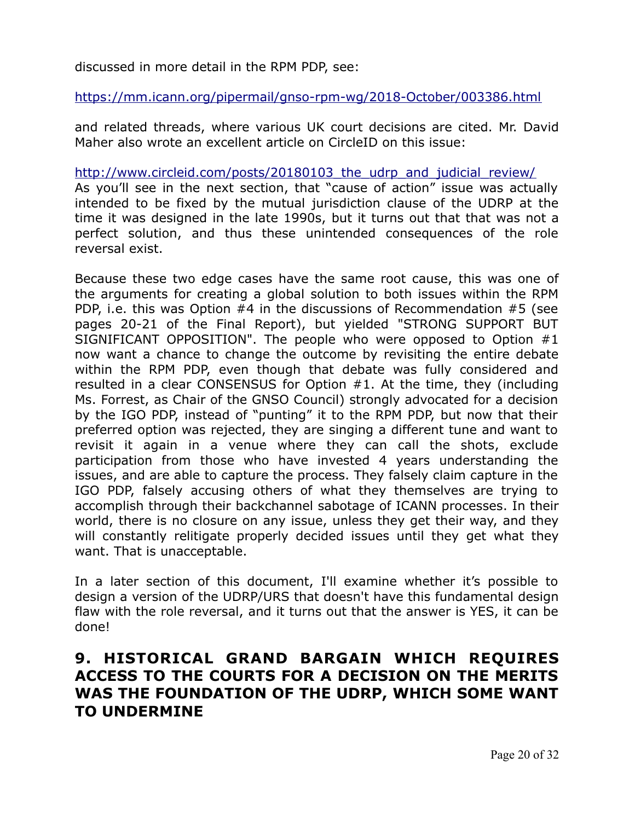discussed in more detail in the RPM PDP, see:

<https://mm.icann.org/pipermail/gnso-rpm-wg/2018-October/003386.html>

and related threads, where various UK court decisions are cited. Mr. David Maher also wrote an excellent article on CircleID on this issue:

http://www.circleid.com/posts/20180103 the udrp and judicial review/

As you'll see in the next section, that "cause of action" issue was actually intended to be fixed by the mutual jurisdiction clause of the UDRP at the time it was designed in the late 1990s, but it turns out that that was not a perfect solution, and thus these unintended consequences of the role reversal exist.

Because these two edge cases have the same root cause, this was one of the arguments for creating a global solution to both issues within the RPM PDP, i.e. this was Option #4 in the discussions of Recommendation #5 (see pages 20-21 of the Final Report), but yielded "STRONG SUPPORT BUT SIGNIFICANT OPPOSITION". The people who were opposed to Option #1 now want a chance to change the outcome by revisiting the entire debate within the RPM PDP, even though that debate was fully considered and resulted in a clear CONSENSUS for Option #1. At the time, they (including Ms. Forrest, as Chair of the GNSO Council) strongly advocated for a decision by the IGO PDP, instead of "punting" it to the RPM PDP, but now that their preferred option was rejected, they are singing a different tune and want to revisit it again in a venue where they can call the shots, exclude participation from those who have invested 4 years understanding the issues, and are able to capture the process. They falsely claim capture in the IGO PDP, falsely accusing others of what they themselves are trying to accomplish through their backchannel sabotage of ICANN processes. In their world, there is no closure on any issue, unless they get their way, and they will constantly relitigate properly decided issues until they get what they want. That is unacceptable.

In a later section of this document, I'll examine whether it's possible to design a version of the UDRP/URS that doesn't have this fundamental design flaw with the role reversal, and it turns out that the answer is YES, it can be done!

#### **9. HISTORICAL GRAND BARGAIN WHICH REQUIRES ACCESS TO THE COURTS FOR A DECISION ON THE MERITS WAS THE FOUNDATION OF THE UDRP, WHICH SOME WANT TO UNDERMINE**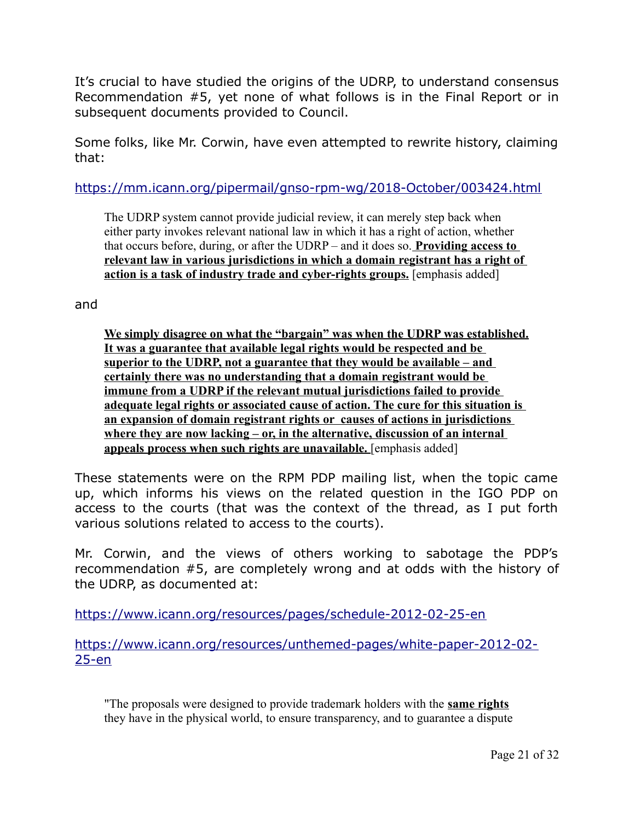It's crucial to have studied the origins of the UDRP, to understand consensus Recommendation #5, yet none of what follows is in the Final Report or in subsequent documents provided to Council.

Some folks, like Mr. Corwin, have even attempted to rewrite history, claiming that:

<https://mm.icann.org/pipermail/gnso-rpm-wg/2018-October/003424.html>

The UDRP system cannot provide judicial review, it can merely step back when either party invokes relevant national law in which it has a right of action, whether that occurs before, during, or after the UDRP – and it does so. **Providing access to relevant law in various jurisdictions in which a domain registrant has a right of action is a task of industry trade and cyber-rights groups.** [emphasis added]

and

**We simply disagree on what the "bargain" was when the UDRP was established. It was a guarantee that available legal rights would be respected and be superior to the UDRP, not a guarantee that they would be available – and certainly there was no understanding that a domain registrant would be immune from a UDRP if the relevant mutual jurisdictions failed to provide adequate legal rights or associated cause of action. The cure for this situation is an expansion of domain registrant rights or causes of actions in jurisdictions where they are now lacking – or, in the alternative, discussion of an internal appeals process when such rights are unavailable.** [emphasis added]

These statements were on the RPM PDP mailing list, when the topic came up, which informs his views on the related question in the IGO PDP on access to the courts (that was the context of the thread, as I put forth various solutions related to access to the courts).

Mr. Corwin, and the views of others working to sabotage the PDP's recommendation #5, are completely wrong and at odds with the history of the UDRP, as documented at:

<https://www.icann.org/resources/pages/schedule-2012-02-25-en>

[https://www.icann.org/resources/unthemed-pages/white-paper-2012-02-](https://www.icann.org/resources/unthemed-pages/white-paper-2012-02-25-en) [25-en](https://www.icann.org/resources/unthemed-pages/white-paper-2012-02-25-en)

"The proposals were designed to provide trademark holders with the **same rights** they have in the physical world, to ensure transparency, and to guarantee a dispute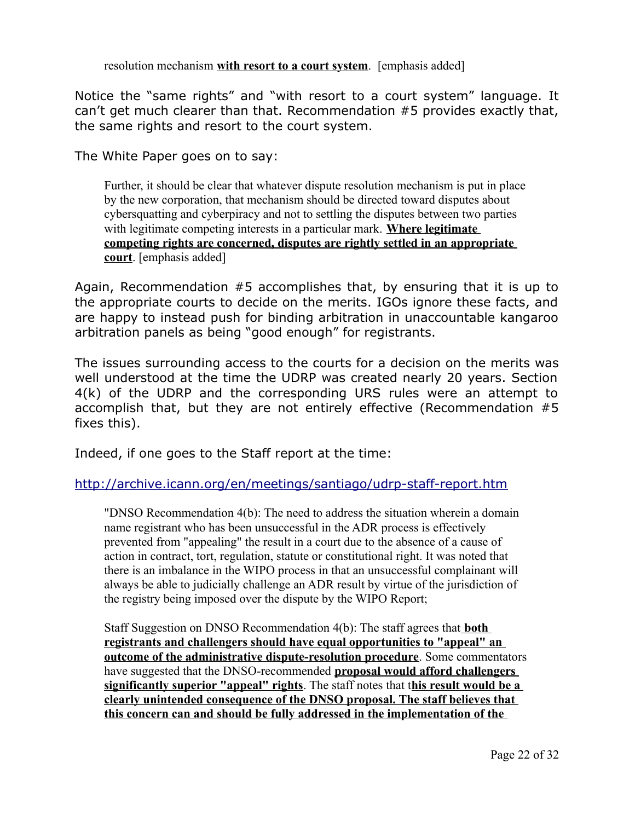resolution mechanism **with resort to a court system**. [emphasis added]

Notice the "same rights" and "with resort to a court system" language. It can't get much clearer than that. Recommendation #5 provides exactly that, the same rights and resort to the court system.

The White Paper goes on to say:

Further, it should be clear that whatever dispute resolution mechanism is put in place by the new corporation, that mechanism should be directed toward disputes about cybersquatting and cyberpiracy and not to settling the disputes between two parties with legitimate competing interests in a particular mark. **Where legitimate competing rights are concerned, disputes are rightly settled in an appropriate court**. [emphasis added]

Again, Recommendation #5 accomplishes that, by ensuring that it is up to the appropriate courts to decide on the merits. IGOs ignore these facts, and are happy to instead push for binding arbitration in unaccountable kangaroo arbitration panels as being "good enough" for registrants.

The issues surrounding access to the courts for a decision on the merits was well understood at the time the UDRP was created nearly 20 years. Section 4(k) of the UDRP and the corresponding URS rules were an attempt to accomplish that, but they are not entirely effective (Recommendation #5 fixes this).

Indeed, if one goes to the Staff report at the time:

#### <http://archive.icann.org/en/meetings/santiago/udrp-staff-report.htm>

"DNSO Recommendation 4(b): The need to address the situation wherein a domain name registrant who has been unsuccessful in the ADR process is effectively prevented from "appealing" the result in a court due to the absence of a cause of action in contract, tort, regulation, statute or constitutional right. It was noted that there is an imbalance in the WIPO process in that an unsuccessful complainant will always be able to judicially challenge an ADR result by virtue of the jurisdiction of the registry being imposed over the dispute by the WIPO Report;

Staff Suggestion on DNSO Recommendation 4(b): The staff agrees that **both registrants and challengers should have equal opportunities to "appeal" an outcome of the administrative dispute-resolution procedure**. Some commentators have suggested that the DNSO-recommended **proposal would afford challengers significantly superior "appeal" rights**. The staff notes that t**his result would be a clearly unintended consequence of the DNSO proposal. The staff believes that this concern can and should be fully addressed in the implementation of the**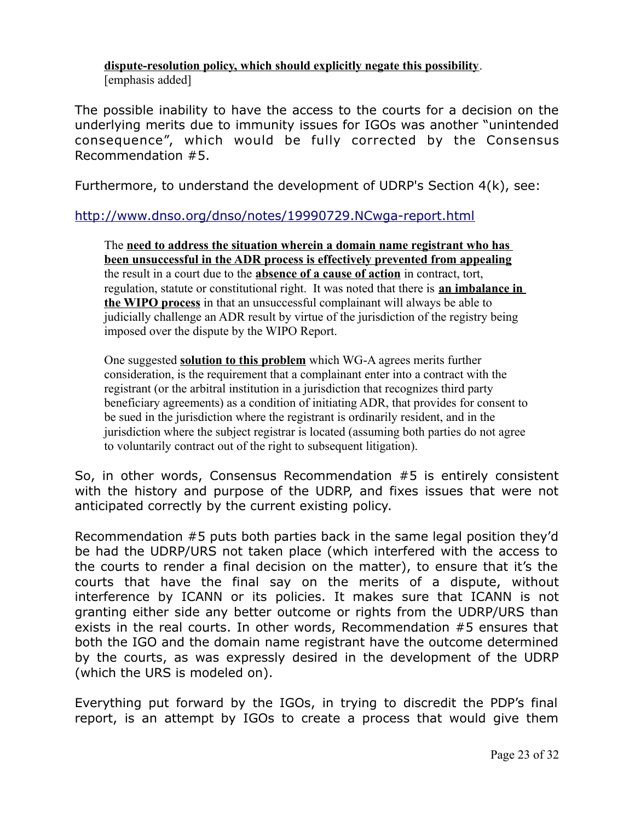**dispute-resolution policy, which should explicitly negate this possibility**. [emphasis added]

The possible inability to have the access to the courts for a decision on the underlying merits due to immunity issues for IGOs was another "unintended consequence", which would be fully corrected by the Consensus Recommendation #5.

Furthermore, to understand the development of UDRP's Section 4(k), see:

#### <http://www.dnso.org/dnso/notes/19990729.NCwga-report.html>

The **need to address the situation wherein a domain name registrant who has been unsuccessful in the ADR process is effectively prevented from appealing** the result in a court due to the **absence of a cause of action** in contract, tort, regulation, statute or constitutional right. It was noted that there is **an imbalance in the WIPO process** in that an unsuccessful complainant will always be able to judicially challenge an ADR result by virtue of the jurisdiction of the registry being imposed over the dispute by the WIPO Report.

One suggested **solution to this problem** which WG-A agrees merits further consideration, is the requirement that a complainant enter into a contract with the registrant (or the arbitral institution in a jurisdiction that recognizes third party beneficiary agreements) as a condition of initiating ADR, that provides for consent to be sued in the jurisdiction where the registrant is ordinarily resident, and in the jurisdiction where the subject registrar is located (assuming both parties do not agree to voluntarily contract out of the right to subsequent litigation).

So, in other words, Consensus Recommendation #5 is entirely consistent with the history and purpose of the UDRP, and fixes issues that were not anticipated correctly by the current existing policy.

Recommendation #5 puts both parties back in the same legal position they'd be had the UDRP/URS not taken place (which interfered with the access to the courts to render a final decision on the matter), to ensure that it's the courts that have the final say on the merits of a dispute, without interference by ICANN or its policies. It makes sure that ICANN is not granting either side any better outcome or rights from the UDRP/URS than exists in the real courts. In other words, Recommendation #5 ensures that both the IGO and the domain name registrant have the outcome determined by the courts, as was expressly desired in the development of the UDRP (which the URS is modeled on).

Everything put forward by the IGOs, in trying to discredit the PDP's final report, is an attempt by IGOs to create a process that would give them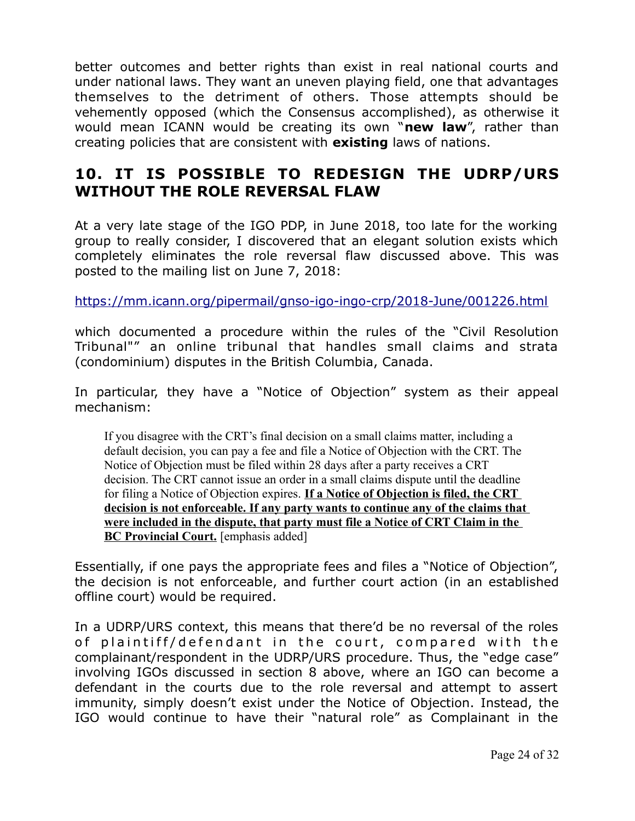better outcomes and better rights than exist in real national courts and under national laws. They want an uneven playing field, one that advantages themselves to the detriment of others. Those attempts should be vehemently opposed (which the Consensus accomplished), as otherwise it would mean ICANN would be creating its own "**new law**", rather than creating policies that are consistent with **existing** laws of nations.

## **10. IT IS POSSIBLE TO REDESIGN THE UDRP/URS WITHOUT THE ROLE REVERSAL FLAW**

At a very late stage of the IGO PDP, in June 2018, too late for the working group to really consider, I discovered that an elegant solution exists which completely eliminates the role reversal flaw discussed above. This was posted to the mailing list on June 7, 2018:

<https://mm.icann.org/pipermail/gnso-igo-ingo-crp/2018-June/001226.html>

which documented a procedure within the rules of the "Civil Resolution Tribunal"" an online tribunal that handles small claims and strata (condominium) disputes in the British Columbia, Canada.

In particular, they have a "Notice of Objection" system as their appeal mechanism:

If you disagree with the CRT's final decision on a small claims matter, including a default decision, you can pay a fee and file a Notice of Objection with the CRT. The Notice of Objection must be filed within 28 days after a party receives a CRT decision. The CRT cannot issue an order in a small claims dispute until the deadline for filing a Notice of Objection expires. **If a Notice of Objection is filed, the CRT decision is not enforceable. If any party wants to continue any of the claims that were included in the dispute, that party must file a Notice of CRT Claim in the BC Provincial Court.** [emphasis added]

Essentially, if one pays the appropriate fees and files a "Notice of Objection", the decision is not enforceable, and further court action (in an established offline court) would be required.

In a UDRP/URS context, this means that there'd be no reversal of the roles of plaintiff/defendant in the court, compared with the complainant/respondent in the UDRP/URS procedure. Thus, the "edge case" involving IGOs discussed in section 8 above, where an IGO can become a defendant in the courts due to the role reversal and attempt to assert immunity, simply doesn't exist under the Notice of Objection. Instead, the IGO would continue to have their "natural role" as Complainant in the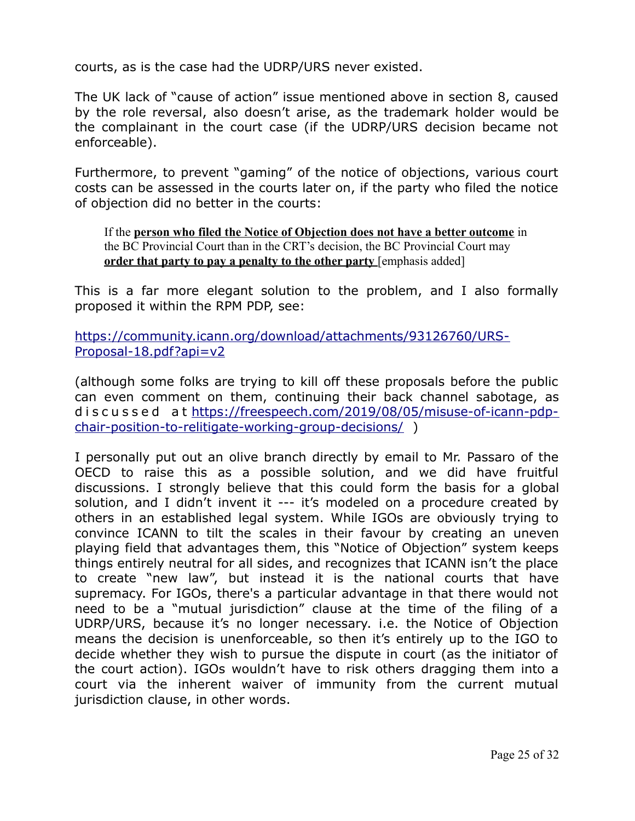courts, as is the case had the UDRP/URS never existed.

The UK lack of "cause of action" issue mentioned above in section 8, caused by the role reversal, also doesn't arise, as the trademark holder would be the complainant in the court case (if the UDRP/URS decision became not enforceable).

Furthermore, to prevent "gaming" of the notice of objections, various court costs can be assessed in the courts later on, if the party who filed the notice of objection did no better in the courts:

If the **person who filed the Notice of Objection does not have a better outcome** in the BC Provincial Court than in the CRT's decision, the BC Provincial Court may **order that party to pay a penalty to the other party** [emphasis added]

This is a far more elegant solution to the problem, and I also formally proposed it within the RPM PDP, see:

[https://community.icann.org/download/attachments/93126760/URS-](https://community.icann.org/download/attachments/93126760/URS-Proposal-18.pdf?api=v2)[Proposal-18.pdf?api=v2](https://community.icann.org/download/attachments/93126760/URS-Proposal-18.pdf?api=v2)

(although some folks are trying to kill off these proposals before the public can even comment on them, continuing their back channel sabotage, as d i s c u s s e d at [https://freespeech.com/2019/08/05/misuse-of-icann-pdp](https://freespeech.com/2019/08/05/misuse-of-icann-pdp-chair-position-to-relitigate-working-group-decisions/)[chair-position-to-relitigate-working-group-decisions/](https://freespeech.com/2019/08/05/misuse-of-icann-pdp-chair-position-to-relitigate-working-group-decisions/) )

I personally put out an olive branch directly by email to Mr. Passaro of the OECD to raise this as a possible solution, and we did have fruitful discussions. I strongly believe that this could form the basis for a global solution, and I didn't invent it --- it's modeled on a procedure created by others in an established legal system. While IGOs are obviously trying to convince ICANN to tilt the scales in their favour by creating an uneven playing field that advantages them, this "Notice of Objection" system keeps things entirely neutral for all sides, and recognizes that ICANN isn't the place to create "new law", but instead it is the national courts that have supremacy. For IGOs, there's a particular advantage in that there would not need to be a "mutual jurisdiction" clause at the time of the filing of a UDRP/URS, because it's no longer necessary. i.e. the Notice of Objection means the decision is unenforceable, so then it's entirely up to the IGO to decide whether they wish to pursue the dispute in court (as the initiator of the court action). IGOs wouldn't have to risk others dragging them into a court via the inherent waiver of immunity from the current mutual jurisdiction clause, in other words.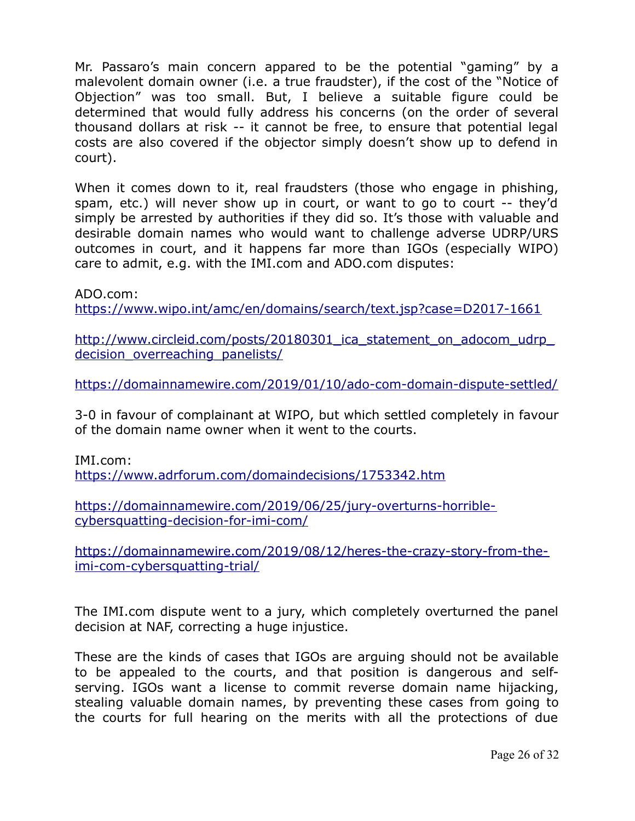Mr. Passaro's main concern appared to be the potential "gaming" by a malevolent domain owner (i.e. a true fraudster), if the cost of the "Notice of Objection" was too small. But, I believe a suitable figure could be determined that would fully address his concerns (on the order of several thousand dollars at risk -- it cannot be free, to ensure that potential legal costs are also covered if the objector simply doesn't show up to defend in court).

When it comes down to it, real fraudsters (those who engage in phishing, spam, etc.) will never show up in court, or want to go to court -- they'd simply be arrested by authorities if they did so. It's those with valuable and desirable domain names who would want to challenge adverse UDRP/URS outcomes in court, and it happens far more than IGOs (especially WIPO) care to admit, e.g. with the IMI.com and ADO.com disputes:

ADO.com:

<https://www.wipo.int/amc/en/domains/search/text.jsp?case=D2017-1661>

[http://www.circleid.com/posts/20180301\\_ica\\_statement\\_on\\_adocom\\_udrp\\_](http://www.circleid.com/posts/20180301_ica_statement_on_adocom_udrp_decision_overreaching_panelists/) [decision\\_overreaching\\_panelists/](http://www.circleid.com/posts/20180301_ica_statement_on_adocom_udrp_decision_overreaching_panelists/)

<https://domainnamewire.com/2019/01/10/ado-com-domain-dispute-settled/>

3-0 in favour of complainant at WIPO, but which settled completely in favour of the domain name owner when it went to the courts.

IMI.com: <https://www.adrforum.com/domaindecisions/1753342.htm>

[https://domainnamewire.com/2019/06/25/jury-overturns-horrible](https://domainnamewire.com/2019/06/25/jury-overturns-horrible-cybersquatting-decision-for-imi-com/)[cybersquatting-decision-for-imi-com/](https://domainnamewire.com/2019/06/25/jury-overturns-horrible-cybersquatting-decision-for-imi-com/)

[https://domainnamewire.com/2019/08/12/heres-the-crazy-story-from-the](https://domainnamewire.com/2019/08/12/heres-the-crazy-story-from-the-imi-com-cybersquatting-trial/)[imi-com-cybersquatting-trial/](https://domainnamewire.com/2019/08/12/heres-the-crazy-story-from-the-imi-com-cybersquatting-trial/)

The IMI.com dispute went to a jury, which completely overturned the panel decision at NAF, correcting a huge injustice.

These are the kinds of cases that IGOs are arguing should not be available to be appealed to the courts, and that position is dangerous and selfserving. IGOs want a license to commit reverse domain name hijacking, stealing valuable domain names, by preventing these cases from going to the courts for full hearing on the merits with all the protections of due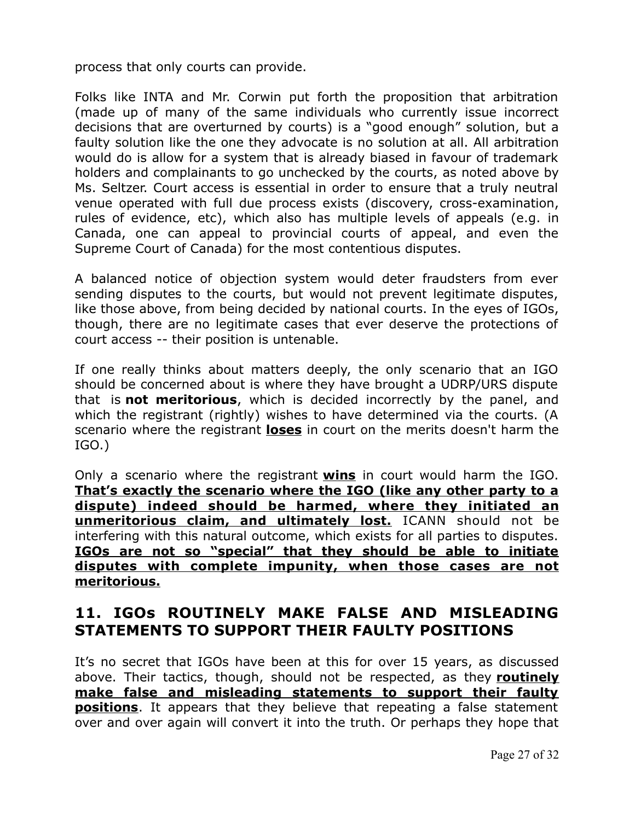process that only courts can provide.

Folks like INTA and Mr. Corwin put forth the proposition that arbitration (made up of many of the same individuals who currently issue incorrect decisions that are overturned by courts) is a "good enough" solution, but a faulty solution like the one they advocate is no solution at all. All arbitration would do is allow for a system that is already biased in favour of trademark holders and complainants to go unchecked by the courts, as noted above by Ms. Seltzer. Court access is essential in order to ensure that a truly neutral venue operated with full due process exists (discovery, cross-examination, rules of evidence, etc), which also has multiple levels of appeals (e.g. in Canada, one can appeal to provincial courts of appeal, and even the Supreme Court of Canada) for the most contentious disputes.

A balanced notice of objection system would deter fraudsters from ever sending disputes to the courts, but would not prevent legitimate disputes, like those above, from being decided by national courts. In the eyes of IGOs, though, there are no legitimate cases that ever deserve the protections of court access -- their position is untenable.

If one really thinks about matters deeply, the only scenario that an IGO should be concerned about is where they have brought a UDRP/URS dispute that is **not meritorious**, which is decided incorrectly by the panel, and which the registrant (rightly) wishes to have determined via the courts. (A scenario where the registrant **loses** in court on the merits doesn't harm the IGO.)

Only a scenario where the registrant **wins** in court would harm the IGO. **That's exactly the scenario where the IGO (like any other party to a dispute) indeed should be harmed, where they initiated an unmeritorious claim, and ultimately lost.** ICANN should not be interfering with this natural outcome, which exists for all parties to disputes. **IGOs are not so "special" that they should be able to initiate disputes with complete impunity, when those cases are not meritorious.**

#### **11. IGOs ROUTINELY MAKE FALSE AND MISLEADING STATEMENTS TO SUPPORT THEIR FAULTY POSITIONS**

It's no secret that IGOs have been at this for over 15 years, as discussed above. Their tactics, though, should not be respected, as they **routinely make false and misleading statements to support their faulty positions**. It appears that they believe that repeating a false statement over and over again will convert it into the truth. Or perhaps they hope that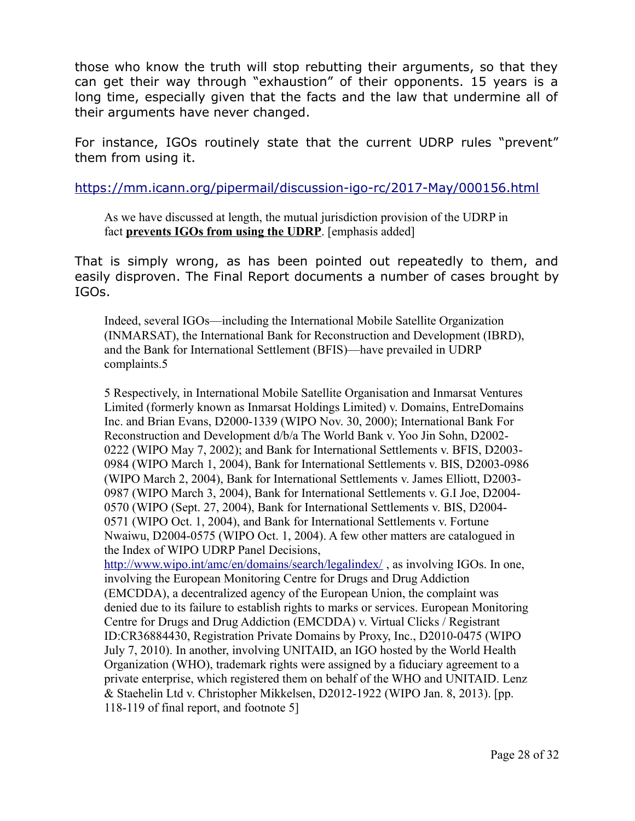those who know the truth will stop rebutting their arguments, so that they can get their way through "exhaustion" of their opponents. 15 years is a long time, especially given that the facts and the law that undermine all of their arguments have never changed.

For instance, IGOs routinely state that the current UDRP rules "prevent" them from using it.

<https://mm.icann.org/pipermail/discussion-igo-rc/2017-May/000156.html>

As we have discussed at length, the mutual jurisdiction provision of the UDRP in fact **prevents IGOs from using the UDRP**. [emphasis added]

That is simply wrong, as has been pointed out repeatedly to them, and easily disproven. The Final Report documents a number of cases brought by IGOs.

Indeed, several IGOs—including the International Mobile Satellite Organization (INMARSAT), the International Bank for Reconstruction and Development (IBRD), and the Bank for International Settlement (BFIS)—have prevailed in UDRP complaints.5

5 Respectively, in International Mobile Satellite Organisation and Inmarsat Ventures Limited (formerly known as Inmarsat Holdings Limited) v. Domains, EntreDomains Inc. and Brian Evans, D2000-1339 (WIPO Nov. 30, 2000); International Bank For Reconstruction and Development d/b/a The World Bank v. Yoo Jin Sohn, D2002- 0222 (WIPO May 7, 2002); and Bank for International Settlements v. BFIS, D2003- 0984 (WIPO March 1, 2004), Bank for International Settlements v. BIS, D2003-0986 (WIPO March 2, 2004), Bank for International Settlements v. James Elliott, D2003- 0987 (WIPO March 3, 2004), Bank for International Settlements v. G.I Joe, D2004- 0570 (WIPO (Sept. 27, 2004), Bank for International Settlements v. BIS, D2004- 0571 (WIPO Oct. 1, 2004), and Bank for International Settlements v. Fortune Nwaiwu, D2004-0575 (WIPO Oct. 1, 2004). A few other matters are catalogued in the Index of WIPO UDRP Panel Decisions,

<http://www.wipo.int/amc/en/domains/search/legalindex/>, as involving IGOs. In one, involving the European Monitoring Centre for Drugs and Drug Addiction (EMCDDA), a decentralized agency of the European Union, the complaint was denied due to its failure to establish rights to marks or services. European Monitoring Centre for Drugs and Drug Addiction (EMCDDA) v. Virtual Clicks / Registrant ID:CR36884430, Registration Private Domains by Proxy, Inc., D2010-0475 (WIPO July 7, 2010). In another, involving UNITAID, an IGO hosted by the World Health Organization (WHO), trademark rights were assigned by a fiduciary agreement to a private enterprise, which registered them on behalf of the WHO and UNITAID. Lenz & Staehelin Ltd v. Christopher Mikkelsen, D2012-1922 (WIPO Jan. 8, 2013). [pp. 118-119 of final report, and footnote 5]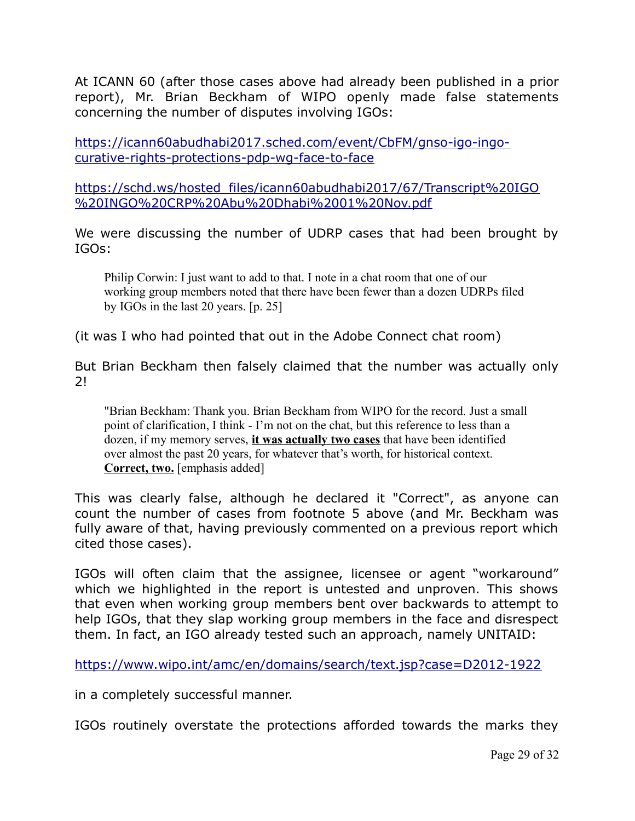At ICANN 60 (after those cases above had already been published in a prior report), Mr. Brian Beckham of WIPO openly made false statements concerning the number of disputes involving IGOs:

[https://icann60abudhabi2017.sched.com/event/CbFM/gnso-igo-ingo](https://icann60abudhabi2017.sched.com/event/CbFM/gnso-igo-ingo-curative-rights-protections-pdp-wg-face-to-face)[curative-rights-protections-pdp-wg-face-to-face](https://icann60abudhabi2017.sched.com/event/CbFM/gnso-igo-ingo-curative-rights-protections-pdp-wg-face-to-face)

[https://schd.ws/hosted\\_files/icann60abudhabi2017/67/Transcript%20IGO](https://schd.ws/hosted_files/icann60abudhabi2017/67/Transcript%20IGO%20INGO%20CRP%20Abu%20Dhabi%2001%20Nov.pdf) [%20INGO%20CRP%20Abu%20Dhabi%2001%20Nov.pdf](https://schd.ws/hosted_files/icann60abudhabi2017/67/Transcript%20IGO%20INGO%20CRP%20Abu%20Dhabi%2001%20Nov.pdf)

We were discussing the number of UDRP cases that had been brought by IGOs:

Philip Corwin: I just want to add to that. I note in a chat room that one of our working group members noted that there have been fewer than a dozen UDRPs filed by IGOs in the last 20 years. [p. 25]

(it was I who had pointed that out in the Adobe Connect chat room)

But Brian Beckham then falsely claimed that the number was actually only 2!

"Brian Beckham: Thank you. Brian Beckham from WIPO for the record. Just a small point of clarification, I think - I'm not on the chat, but this reference to less than a dozen, if my memory serves, **it was actually two cases** that have been identified over almost the past 20 years, for whatever that's worth, for historical context. **Correct, two.** [emphasis added]

This was clearly false, although he declared it "Correct", as anyone can count the number of cases from footnote 5 above (and Mr. Beckham was fully aware of that, having previously commented on a previous report which cited those cases).

IGOs will often claim that the assignee, licensee or agent "workaround" which we highlighted in the report is untested and unproven. This shows that even when working group members bent over backwards to attempt to help IGOs, that they slap working group members in the face and disrespect them. In fact, an IGO already tested such an approach, namely UNITAID:

<https://www.wipo.int/amc/en/domains/search/text.jsp?case=D2012-1922>

in a completely successful manner.

IGOs routinely overstate the protections afforded towards the marks they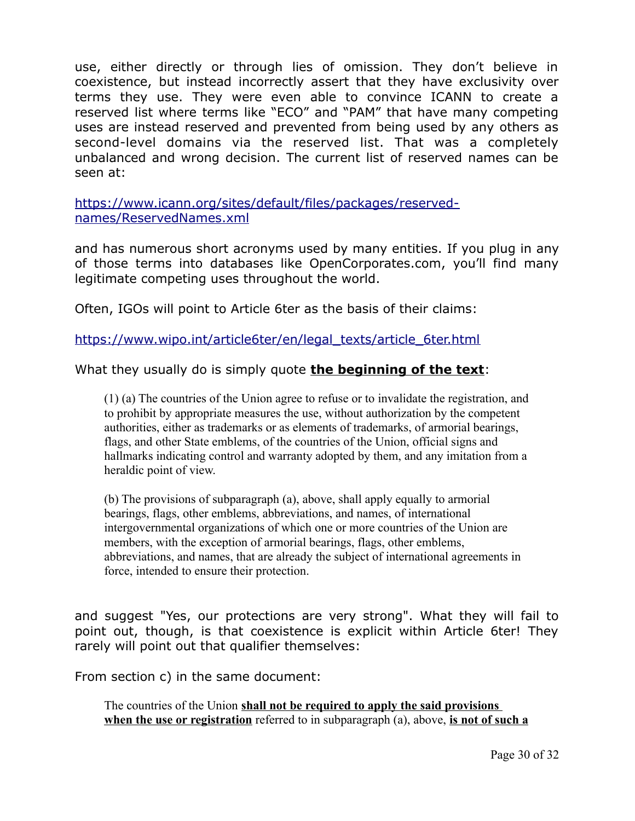use, either directly or through lies of omission. They don't believe in coexistence, but instead incorrectly assert that they have exclusivity over terms they use. They were even able to convince ICANN to create a reserved list where terms like "ECO" and "PAM" that have many competing uses are instead reserved and prevented from being used by any others as second-level domains via the reserved list. That was a completely unbalanced and wrong decision. The current list of reserved names can be seen at:

[https://www.icann.org/sites/default/files/packages/reserved](https://www.icann.org/sites/default/files/packages/reserved-names/ReservedNames.xml)[names/ReservedNames.xml](https://www.icann.org/sites/default/files/packages/reserved-names/ReservedNames.xml)

and has numerous short acronyms used by many entities. If you plug in any of those terms into databases like OpenCorporates.com, you'll find many legitimate competing uses throughout the world.

Often, IGOs will point to Article 6ter as the basis of their claims:

[https://www.wipo.int/article6ter/en/legal\\_texts/article\\_6ter.html](https://www.wipo.int/article6ter/en/legal_texts/article_6ter.html)

What they usually do is simply quote **the beginning of the text**:

(1) (a) The countries of the Union agree to refuse or to invalidate the registration, and to prohibit by appropriate measures the use, without authorization by the competent authorities, either as trademarks or as elements of trademarks, of armorial bearings, flags, and other State emblems, of the countries of the Union, official signs and hallmarks indicating control and warranty adopted by them, and any imitation from a heraldic point of view.

(b) The provisions of subparagraph (a), above, shall apply equally to armorial bearings, flags, other emblems, abbreviations, and names, of international intergovernmental organizations of which one or more countries of the Union are members, with the exception of armorial bearings, flags, other emblems, abbreviations, and names, that are already the subject of international agreements in force, intended to ensure their protection.

and suggest "Yes, our protections are very strong". What they will fail to point out, though, is that coexistence is explicit within Article 6ter! They rarely will point out that qualifier themselves:

From section c) in the same document:

The countries of the Union **shall not be required to apply the said provisions when the use or registration** referred to in subparagraph (a), above, **is not of such a**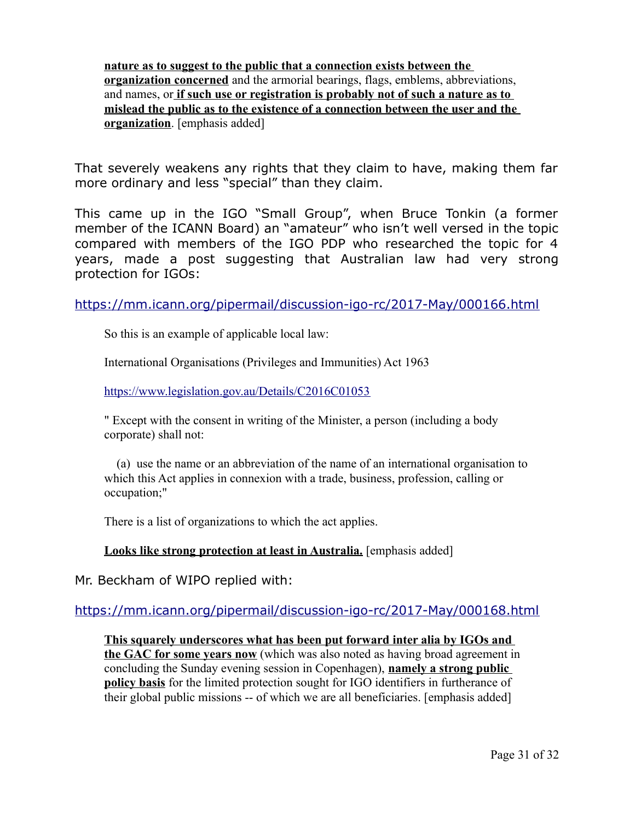**nature as to suggest to the public that a connection exists between the organization concerned** and the armorial bearings, flags, emblems, abbreviations, and names, or **if such use or registration is probably not of such a nature as to mislead the public as to the existence of a connection between the user and the organization**. [emphasis added]

That severely weakens any rights that they claim to have, making them far more ordinary and less "special" than they claim.

This came up in the IGO "Small Group", when Bruce Tonkin (a former member of the ICANN Board) an "amateur" who isn't well versed in the topic compared with members of the IGO PDP who researched the topic for 4 years, made a post suggesting that Australian law had very strong protection for IGOs:

<https://mm.icann.org/pipermail/discussion-igo-rc/2017-May/000166.html>

So this is an example of applicable local law:

International Organisations (Privileges and Immunities) Act 1963

<https://www.legislation.gov.au/Details/C2016C01053>

" Except with the consent in writing of the Minister, a person (including a body corporate) shall not:

 (a) use the name or an abbreviation of the name of an international organisation to which this Act applies in connexion with a trade, business, profession, calling or occupation;"

There is a list of organizations to which the act applies.

**Looks like strong protection at least in Australia.** [emphasis added]

Mr. Beckham of WIPO replied with:

#### <https://mm.icann.org/pipermail/discussion-igo-rc/2017-May/000168.html>

**This squarely underscores what has been put forward inter alia by IGOs and the GAC for some years now** (which was also noted as having broad agreement in concluding the Sunday evening session in Copenhagen), **namely a strong public policy basis** for the limited protection sought for IGO identifiers in furtherance of their global public missions -- of which we are all beneficiaries. [emphasis added]